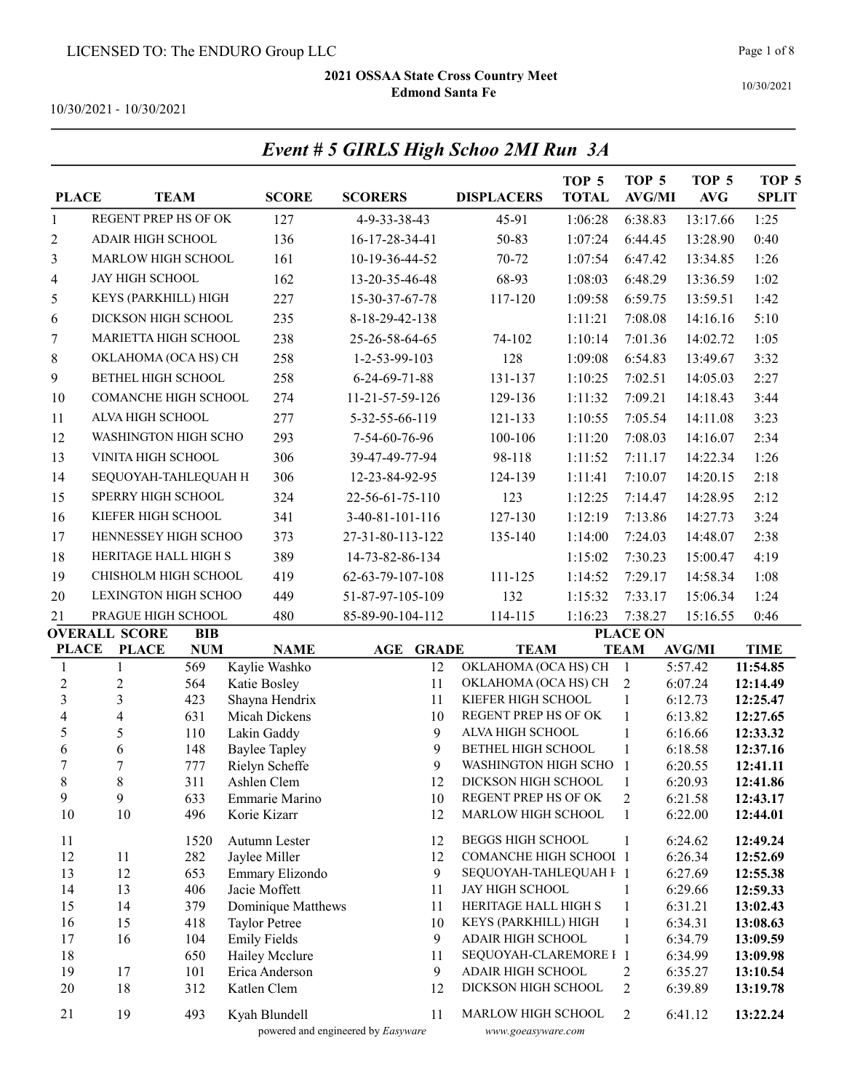Event # 5 GIRLS High Schoo 2MI Run 3A

10/30/2021 - 10/30/2021

| REGENT PREP HS OF OK<br>127<br>45-91<br>1:06:28<br>6:38.83<br>1:25<br>4-9-33-38-43<br>13:17.66<br>$\mathbf{1}$<br>ADAIR HIGH SCHOOL<br>0:40<br>136<br>16-17-28-34-41<br>50-83<br>1:07:24<br>6:44.45<br>13:28.90<br>2<br>161<br>70-72<br>3<br>MARLOW HIGH SCHOOL<br>10-19-36-44-52<br>1:07:54<br>6:47.42<br>13:34.85<br>1:26<br>162<br>68-93<br>1:02<br>JAY HIGH SCHOOL<br>13-20-35-46-48<br>1:08:03<br>6:48.29<br>13:36.59<br>4<br>227<br>1:42<br>5<br>KEYS (PARKHILL) HIGH<br>15-30-37-67-78<br>117-120<br>1:09:58<br>6:59.75<br>13:59.51<br>DICKSON HIGH SCHOOL<br>235<br>5:10<br>1:11:21<br>7:08.08<br>14:16.16<br>6<br>8-18-29-42-138<br>MARIETTA HIGH SCHOOL<br>238<br>25-26-58-64-65<br>74-102<br>7:01.36<br>14:02.72<br>1:05<br>7<br>1:10:14<br>258<br>3:32<br>8<br>128<br>1:09:08<br>13:49.67<br>OKLAHOMA (OCA HS) CH<br>1-2-53-99-103<br>6:54.83<br>258<br>9<br><b>BETHEL HIGH SCHOOL</b><br>2:27<br>6-24-69-71-88<br>131-137<br>1:10:25<br>7:02.51<br>14:05.03<br>3:44<br>10<br><b>COMANCHE HIGH SCHOOL</b><br>274<br>1:11:32<br>7:09.21<br>14:18.43<br>11-21-57-59-126<br>129-136<br>ALVA HIGH SCHOOL<br>277<br>3:23<br>11<br>5-32-55-66-119<br>121-133<br>1:10:55<br>7:05.54<br>14:11.08<br>WASHINGTON HIGH SCHO<br>12<br>293<br>7-54-60-76-96<br>100-106<br>1:11:20<br>7:08.03<br>14:16.07<br>2:34<br>13<br>306<br>VINITA HIGH SCHOOL<br>98-118<br>1:11:52<br>7:11.17<br>14:22.34<br>1:26<br>39-47-49-77-94<br>2:18<br>14<br>306<br>1:11:41<br>14:20.15<br>SEQUOYAH-TAHLEQUAH H<br>12-23-84-92-95<br>124-139<br>7:10.07<br>15<br>SPERRY HIGH SCHOOL<br>324<br>2:12<br>22-56-61-75-110<br>123<br>1:12:25<br>7:14.47<br>14:28.95<br>16<br>KIEFER HIGH SCHOOL<br>341<br>3:24<br>3-40-81-101-116<br>127-130<br>1:12:19<br>7:13.86<br>14:27.73<br>17<br>HENNESSEY HIGH SCHOO<br>2:38<br>373<br>27-31-80-113-122<br>135-140<br>1:14:00<br>7:24.03<br>14:48.07<br>18<br>HERITAGE HALL HIGH S<br>389<br>4:19<br>14-73-82-86-134<br>1:15:02<br>7:30.23<br>15:00.47<br>19<br>CHISHOLM HIGH SCHOOL<br>419<br>111-125<br>1:14:52<br>7:29.17<br>14:58.34<br>1:08<br>62-63-79-107-108<br>132<br>20<br><b>LEXINGTON HIGH SCHOO</b><br>449<br>1:15:32<br>7:33.17<br>15:06.34<br>1:24<br>51-87-97-105-109<br>PRAGUE HIGH SCHOOL<br>0:46<br>21<br>480<br>85-89-90-104-112<br>114-115<br>1:16:23<br>7:38.27<br>15:16.55<br><b>OVERALL SCORE</b><br><b>PLACE ON</b><br><b>BIB</b><br><b>PLACE</b><br><b>PLACE</b><br><b>NUM</b><br><b>NAME</b><br>AGE<br><b>GRADE</b><br><b>TEAM</b><br><b>TEAM</b><br><b>AVG/MI</b><br><b>TIME</b><br>Kaylie Washko<br>$\mathbf{1}$<br>569<br>12<br>OKLAHOMA (OCA HS) CH<br>$\mathbf{1}$<br>5:57.42<br>11:54.85<br>1<br>$\overline{c}$<br>$\boldsymbol{2}$<br>564<br>Katie Bosley<br>11<br>$\overline{2}$<br>6:07.24<br>OKLAHOMA (OCA HS) CH<br>12:14.49<br>$\mathfrak{Z}$<br>$\mathfrak{Z}$<br>423<br>Shayna Hendrix<br>11<br>KIEFER HIGH SCHOOL<br>$\mathbf{1}$<br>6:12.73<br>12:25.47<br>$\overline{\mathcal{A}}$<br>$\overline{\mathbf{4}}$<br>$\mathbf{1}$<br>631<br>Micah Dickens<br>10<br>REGENT PREP HS OF OK<br>6:13.82<br>12:27.65<br>5<br>5<br>9<br>110<br>Lakin Gaddy<br>ALVA HIGH SCHOOL<br>$\mathbf{1}$<br>12:33.32<br>6:16.66<br>9<br>6<br>6<br>BETHEL HIGH SCHOOL<br>$\mathbf{1}$<br>148<br><b>Baylee Tapley</b><br>12:37.16<br>6:18.58<br>9<br>$\boldsymbol{7}$<br>7<br>Rielyn Scheffe<br>WASHINGTON HIGH SCHO<br>-1<br>12:41.11<br>777<br>6:20.55<br>$8\,$<br>$\,8\,$<br>311<br>12<br>Ashlen Clem<br>DICKSON HIGH SCHOOL<br>$\mathbf{1}$<br>6:20.93<br>12:41.86<br>9<br>9<br>REGENT PREP HS OF OK<br>$\boldsymbol{2}$<br>6:21.58<br>12:43.17<br>633<br>Emmarie Marino<br>10<br>10<br>MARLOW HIGH SCHOOL<br>10<br>496<br>Korie Kizarr<br>12<br>6:22.00<br>1<br>12:44.01<br>11<br>Autumn Lester<br><b>BEGGS HIGH SCHOOL</b><br>1520<br>12<br>1<br>6:24.62<br>12:49.24<br>12<br><b>COMANCHE HIGH SCHOOI 1</b><br>11<br>282<br>Jaylee Miller<br>12<br>6:26.34<br>12:52.69<br>12<br>13<br>653<br>Emmary Elizondo<br>9<br>SEQUOYAH-TAHLEQUAH F 1<br>6:27.69<br>12:55.38<br>13<br>Jacie Moffett<br>14<br>JAY HIGH SCHOOL<br>6:29.66<br>406<br>11<br>1<br>12:59.33<br>Dominique Matthews<br>HERITAGE HALL HIGH S<br>$\mathbf{1}$<br>15<br>14<br>379<br>6:31.21<br>11<br>13:02.43<br>16<br>15<br><b>Taylor Petree</b><br>KEYS (PARKHILL) HIGH<br>$\mathbf{1}$<br>6:34.31<br>418<br>10<br>13:08.63<br>16<br><b>Emily Fields</b><br>9<br>$\mathbf{1}$<br>6:34.79<br>17<br>104<br><b>ADAIR HIGH SCHOOL</b><br>13:09.59<br>18<br>650<br>Hailey Mcclure<br>SEQUOYAH-CLAREMORE I 1<br>11<br>6:34.99<br>13:09.98<br>19<br>9<br>ADAIR HIGH SCHOOL<br>$\overline{2}$<br>17<br>101<br>Erica Anderson<br>6:35.27<br>13:10.54<br>18<br>20<br>312<br>Katlen Clem<br>12<br>DICKSON HIGH SCHOOL<br>2<br>6:39.89<br>13:19.78<br>21<br>19<br>493<br>Kyah Blundell<br>11<br>MARLOW HIGH SCHOOL<br>2<br>6:41.12<br>13:22.24<br>powered and engineered by Easyware<br>www.goeasyware.com | <b>PLACE</b> | <b>TEAM</b> | <b>SCORE</b> | <b>SCORERS</b> | <b>DISPLACERS</b> | TOP 5<br><b>TOTAL</b> | TOP <sub>5</sub><br><b>AVG/MI</b> | TOP <sub>5</sub><br><b>AVG</b> | TOP <sub>5</sub><br><b>SPLIT</b> |
|---------------------------------------------------------------------------------------------------------------------------------------------------------------------------------------------------------------------------------------------------------------------------------------------------------------------------------------------------------------------------------------------------------------------------------------------------------------------------------------------------------------------------------------------------------------------------------------------------------------------------------------------------------------------------------------------------------------------------------------------------------------------------------------------------------------------------------------------------------------------------------------------------------------------------------------------------------------------------------------------------------------------------------------------------------------------------------------------------------------------------------------------------------------------------------------------------------------------------------------------------------------------------------------------------------------------------------------------------------------------------------------------------------------------------------------------------------------------------------------------------------------------------------------------------------------------------------------------------------------------------------------------------------------------------------------------------------------------------------------------------------------------------------------------------------------------------------------------------------------------------------------------------------------------------------------------------------------------------------------------------------------------------------------------------------------------------------------------------------------------------------------------------------------------------------------------------------------------------------------------------------------------------------------------------------------------------------------------------------------------------------------------------------------------------------------------------------------------------------------------------------------------------------------------------------------------------------------------------------------------------------------------------------------------------------------------------------------------------------------------------------------------------------------------------------------------------------------------------------------------------------------------------------------------------------------------------------------------------------------------------------------------------------------------------------------------------------------------------------------------------------------------------------------------------------------------------------------------------------------------------------------------------------------------------------------------------------------------------------------------------------------------------------------------------------------------------------------------------------------------------------------------------------------------------------------------------------------------------------------------------------------------------------------------------------------------------------------------------------------------------------------------------------------------------------------------------------------------------------------------------------------------------------------------------------------------------------------------------------------------------------------------------------------------------------------------------------------------------------------------------------------------------------------------------------------------------------------------------------------------------------------------------------------------------------------------------------------------------------------------------------------------------------------------------------------------------------------------------------------------------------------------------------------------------------------------------------------------------------------------------------------------------------------------------------------------------------------------------------------------------------------------------------------------------------------------------------------------------------------------------------------------------------|--------------|-------------|--------------|----------------|-------------------|-----------------------|-----------------------------------|--------------------------------|----------------------------------|
|                                                                                                                                                                                                                                                                                                                                                                                                                                                                                                                                                                                                                                                                                                                                                                                                                                                                                                                                                                                                                                                                                                                                                                                                                                                                                                                                                                                                                                                                                                                                                                                                                                                                                                                                                                                                                                                                                                                                                                                                                                                                                                                                                                                                                                                                                                                                                                                                                                                                                                                                                                                                                                                                                                                                                                                                                                                                                                                                                                                                                                                                                                                                                                                                                                                                                                                                                                                                                                                                                                                                                                                                                                                                                                                                                                                                                                                                                                                                                                                                                                                                                                                                                                                                                                                                                                                                                                                                                                                                                                                                                                                                                                                                                                                                                                                                                                                                                                         |              |             |              |                |                   |                       |                                   |                                |                                  |
|                                                                                                                                                                                                                                                                                                                                                                                                                                                                                                                                                                                                                                                                                                                                                                                                                                                                                                                                                                                                                                                                                                                                                                                                                                                                                                                                                                                                                                                                                                                                                                                                                                                                                                                                                                                                                                                                                                                                                                                                                                                                                                                                                                                                                                                                                                                                                                                                                                                                                                                                                                                                                                                                                                                                                                                                                                                                                                                                                                                                                                                                                                                                                                                                                                                                                                                                                                                                                                                                                                                                                                                                                                                                                                                                                                                                                                                                                                                                                                                                                                                                                                                                                                                                                                                                                                                                                                                                                                                                                                                                                                                                                                                                                                                                                                                                                                                                                                         |              |             |              |                |                   |                       |                                   |                                |                                  |
|                                                                                                                                                                                                                                                                                                                                                                                                                                                                                                                                                                                                                                                                                                                                                                                                                                                                                                                                                                                                                                                                                                                                                                                                                                                                                                                                                                                                                                                                                                                                                                                                                                                                                                                                                                                                                                                                                                                                                                                                                                                                                                                                                                                                                                                                                                                                                                                                                                                                                                                                                                                                                                                                                                                                                                                                                                                                                                                                                                                                                                                                                                                                                                                                                                                                                                                                                                                                                                                                                                                                                                                                                                                                                                                                                                                                                                                                                                                                                                                                                                                                                                                                                                                                                                                                                                                                                                                                                                                                                                                                                                                                                                                                                                                                                                                                                                                                                                         |              |             |              |                |                   |                       |                                   |                                |                                  |
|                                                                                                                                                                                                                                                                                                                                                                                                                                                                                                                                                                                                                                                                                                                                                                                                                                                                                                                                                                                                                                                                                                                                                                                                                                                                                                                                                                                                                                                                                                                                                                                                                                                                                                                                                                                                                                                                                                                                                                                                                                                                                                                                                                                                                                                                                                                                                                                                                                                                                                                                                                                                                                                                                                                                                                                                                                                                                                                                                                                                                                                                                                                                                                                                                                                                                                                                                                                                                                                                                                                                                                                                                                                                                                                                                                                                                                                                                                                                                                                                                                                                                                                                                                                                                                                                                                                                                                                                                                                                                                                                                                                                                                                                                                                                                                                                                                                                                                         |              |             |              |                |                   |                       |                                   |                                |                                  |
|                                                                                                                                                                                                                                                                                                                                                                                                                                                                                                                                                                                                                                                                                                                                                                                                                                                                                                                                                                                                                                                                                                                                                                                                                                                                                                                                                                                                                                                                                                                                                                                                                                                                                                                                                                                                                                                                                                                                                                                                                                                                                                                                                                                                                                                                                                                                                                                                                                                                                                                                                                                                                                                                                                                                                                                                                                                                                                                                                                                                                                                                                                                                                                                                                                                                                                                                                                                                                                                                                                                                                                                                                                                                                                                                                                                                                                                                                                                                                                                                                                                                                                                                                                                                                                                                                                                                                                                                                                                                                                                                                                                                                                                                                                                                                                                                                                                                                                         |              |             |              |                |                   |                       |                                   |                                |                                  |
|                                                                                                                                                                                                                                                                                                                                                                                                                                                                                                                                                                                                                                                                                                                                                                                                                                                                                                                                                                                                                                                                                                                                                                                                                                                                                                                                                                                                                                                                                                                                                                                                                                                                                                                                                                                                                                                                                                                                                                                                                                                                                                                                                                                                                                                                                                                                                                                                                                                                                                                                                                                                                                                                                                                                                                                                                                                                                                                                                                                                                                                                                                                                                                                                                                                                                                                                                                                                                                                                                                                                                                                                                                                                                                                                                                                                                                                                                                                                                                                                                                                                                                                                                                                                                                                                                                                                                                                                                                                                                                                                                                                                                                                                                                                                                                                                                                                                                                         |              |             |              |                |                   |                       |                                   |                                |                                  |
|                                                                                                                                                                                                                                                                                                                                                                                                                                                                                                                                                                                                                                                                                                                                                                                                                                                                                                                                                                                                                                                                                                                                                                                                                                                                                                                                                                                                                                                                                                                                                                                                                                                                                                                                                                                                                                                                                                                                                                                                                                                                                                                                                                                                                                                                                                                                                                                                                                                                                                                                                                                                                                                                                                                                                                                                                                                                                                                                                                                                                                                                                                                                                                                                                                                                                                                                                                                                                                                                                                                                                                                                                                                                                                                                                                                                                                                                                                                                                                                                                                                                                                                                                                                                                                                                                                                                                                                                                                                                                                                                                                                                                                                                                                                                                                                                                                                                                                         |              |             |              |                |                   |                       |                                   |                                |                                  |
|                                                                                                                                                                                                                                                                                                                                                                                                                                                                                                                                                                                                                                                                                                                                                                                                                                                                                                                                                                                                                                                                                                                                                                                                                                                                                                                                                                                                                                                                                                                                                                                                                                                                                                                                                                                                                                                                                                                                                                                                                                                                                                                                                                                                                                                                                                                                                                                                                                                                                                                                                                                                                                                                                                                                                                                                                                                                                                                                                                                                                                                                                                                                                                                                                                                                                                                                                                                                                                                                                                                                                                                                                                                                                                                                                                                                                                                                                                                                                                                                                                                                                                                                                                                                                                                                                                                                                                                                                                                                                                                                                                                                                                                                                                                                                                                                                                                                                                         |              |             |              |                |                   |                       |                                   |                                |                                  |
|                                                                                                                                                                                                                                                                                                                                                                                                                                                                                                                                                                                                                                                                                                                                                                                                                                                                                                                                                                                                                                                                                                                                                                                                                                                                                                                                                                                                                                                                                                                                                                                                                                                                                                                                                                                                                                                                                                                                                                                                                                                                                                                                                                                                                                                                                                                                                                                                                                                                                                                                                                                                                                                                                                                                                                                                                                                                                                                                                                                                                                                                                                                                                                                                                                                                                                                                                                                                                                                                                                                                                                                                                                                                                                                                                                                                                                                                                                                                                                                                                                                                                                                                                                                                                                                                                                                                                                                                                                                                                                                                                                                                                                                                                                                                                                                                                                                                                                         |              |             |              |                |                   |                       |                                   |                                |                                  |
|                                                                                                                                                                                                                                                                                                                                                                                                                                                                                                                                                                                                                                                                                                                                                                                                                                                                                                                                                                                                                                                                                                                                                                                                                                                                                                                                                                                                                                                                                                                                                                                                                                                                                                                                                                                                                                                                                                                                                                                                                                                                                                                                                                                                                                                                                                                                                                                                                                                                                                                                                                                                                                                                                                                                                                                                                                                                                                                                                                                                                                                                                                                                                                                                                                                                                                                                                                                                                                                                                                                                                                                                                                                                                                                                                                                                                                                                                                                                                                                                                                                                                                                                                                                                                                                                                                                                                                                                                                                                                                                                                                                                                                                                                                                                                                                                                                                                                                         |              |             |              |                |                   |                       |                                   |                                |                                  |
|                                                                                                                                                                                                                                                                                                                                                                                                                                                                                                                                                                                                                                                                                                                                                                                                                                                                                                                                                                                                                                                                                                                                                                                                                                                                                                                                                                                                                                                                                                                                                                                                                                                                                                                                                                                                                                                                                                                                                                                                                                                                                                                                                                                                                                                                                                                                                                                                                                                                                                                                                                                                                                                                                                                                                                                                                                                                                                                                                                                                                                                                                                                                                                                                                                                                                                                                                                                                                                                                                                                                                                                                                                                                                                                                                                                                                                                                                                                                                                                                                                                                                                                                                                                                                                                                                                                                                                                                                                                                                                                                                                                                                                                                                                                                                                                                                                                                                                         |              |             |              |                |                   |                       |                                   |                                |                                  |
|                                                                                                                                                                                                                                                                                                                                                                                                                                                                                                                                                                                                                                                                                                                                                                                                                                                                                                                                                                                                                                                                                                                                                                                                                                                                                                                                                                                                                                                                                                                                                                                                                                                                                                                                                                                                                                                                                                                                                                                                                                                                                                                                                                                                                                                                                                                                                                                                                                                                                                                                                                                                                                                                                                                                                                                                                                                                                                                                                                                                                                                                                                                                                                                                                                                                                                                                                                                                                                                                                                                                                                                                                                                                                                                                                                                                                                                                                                                                                                                                                                                                                                                                                                                                                                                                                                                                                                                                                                                                                                                                                                                                                                                                                                                                                                                                                                                                                                         |              |             |              |                |                   |                       |                                   |                                |                                  |
|                                                                                                                                                                                                                                                                                                                                                                                                                                                                                                                                                                                                                                                                                                                                                                                                                                                                                                                                                                                                                                                                                                                                                                                                                                                                                                                                                                                                                                                                                                                                                                                                                                                                                                                                                                                                                                                                                                                                                                                                                                                                                                                                                                                                                                                                                                                                                                                                                                                                                                                                                                                                                                                                                                                                                                                                                                                                                                                                                                                                                                                                                                                                                                                                                                                                                                                                                                                                                                                                                                                                                                                                                                                                                                                                                                                                                                                                                                                                                                                                                                                                                                                                                                                                                                                                                                                                                                                                                                                                                                                                                                                                                                                                                                                                                                                                                                                                                                         |              |             |              |                |                   |                       |                                   |                                |                                  |
|                                                                                                                                                                                                                                                                                                                                                                                                                                                                                                                                                                                                                                                                                                                                                                                                                                                                                                                                                                                                                                                                                                                                                                                                                                                                                                                                                                                                                                                                                                                                                                                                                                                                                                                                                                                                                                                                                                                                                                                                                                                                                                                                                                                                                                                                                                                                                                                                                                                                                                                                                                                                                                                                                                                                                                                                                                                                                                                                                                                                                                                                                                                                                                                                                                                                                                                                                                                                                                                                                                                                                                                                                                                                                                                                                                                                                                                                                                                                                                                                                                                                                                                                                                                                                                                                                                                                                                                                                                                                                                                                                                                                                                                                                                                                                                                                                                                                                                         |              |             |              |                |                   |                       |                                   |                                |                                  |
|                                                                                                                                                                                                                                                                                                                                                                                                                                                                                                                                                                                                                                                                                                                                                                                                                                                                                                                                                                                                                                                                                                                                                                                                                                                                                                                                                                                                                                                                                                                                                                                                                                                                                                                                                                                                                                                                                                                                                                                                                                                                                                                                                                                                                                                                                                                                                                                                                                                                                                                                                                                                                                                                                                                                                                                                                                                                                                                                                                                                                                                                                                                                                                                                                                                                                                                                                                                                                                                                                                                                                                                                                                                                                                                                                                                                                                                                                                                                                                                                                                                                                                                                                                                                                                                                                                                                                                                                                                                                                                                                                                                                                                                                                                                                                                                                                                                                                                         |              |             |              |                |                   |                       |                                   |                                |                                  |
|                                                                                                                                                                                                                                                                                                                                                                                                                                                                                                                                                                                                                                                                                                                                                                                                                                                                                                                                                                                                                                                                                                                                                                                                                                                                                                                                                                                                                                                                                                                                                                                                                                                                                                                                                                                                                                                                                                                                                                                                                                                                                                                                                                                                                                                                                                                                                                                                                                                                                                                                                                                                                                                                                                                                                                                                                                                                                                                                                                                                                                                                                                                                                                                                                                                                                                                                                                                                                                                                                                                                                                                                                                                                                                                                                                                                                                                                                                                                                                                                                                                                                                                                                                                                                                                                                                                                                                                                                                                                                                                                                                                                                                                                                                                                                                                                                                                                                                         |              |             |              |                |                   |                       |                                   |                                |                                  |
|                                                                                                                                                                                                                                                                                                                                                                                                                                                                                                                                                                                                                                                                                                                                                                                                                                                                                                                                                                                                                                                                                                                                                                                                                                                                                                                                                                                                                                                                                                                                                                                                                                                                                                                                                                                                                                                                                                                                                                                                                                                                                                                                                                                                                                                                                                                                                                                                                                                                                                                                                                                                                                                                                                                                                                                                                                                                                                                                                                                                                                                                                                                                                                                                                                                                                                                                                                                                                                                                                                                                                                                                                                                                                                                                                                                                                                                                                                                                                                                                                                                                                                                                                                                                                                                                                                                                                                                                                                                                                                                                                                                                                                                                                                                                                                                                                                                                                                         |              |             |              |                |                   |                       |                                   |                                |                                  |
|                                                                                                                                                                                                                                                                                                                                                                                                                                                                                                                                                                                                                                                                                                                                                                                                                                                                                                                                                                                                                                                                                                                                                                                                                                                                                                                                                                                                                                                                                                                                                                                                                                                                                                                                                                                                                                                                                                                                                                                                                                                                                                                                                                                                                                                                                                                                                                                                                                                                                                                                                                                                                                                                                                                                                                                                                                                                                                                                                                                                                                                                                                                                                                                                                                                                                                                                                                                                                                                                                                                                                                                                                                                                                                                                                                                                                                                                                                                                                                                                                                                                                                                                                                                                                                                                                                                                                                                                                                                                                                                                                                                                                                                                                                                                                                                                                                                                                                         |              |             |              |                |                   |                       |                                   |                                |                                  |
|                                                                                                                                                                                                                                                                                                                                                                                                                                                                                                                                                                                                                                                                                                                                                                                                                                                                                                                                                                                                                                                                                                                                                                                                                                                                                                                                                                                                                                                                                                                                                                                                                                                                                                                                                                                                                                                                                                                                                                                                                                                                                                                                                                                                                                                                                                                                                                                                                                                                                                                                                                                                                                                                                                                                                                                                                                                                                                                                                                                                                                                                                                                                                                                                                                                                                                                                                                                                                                                                                                                                                                                                                                                                                                                                                                                                                                                                                                                                                                                                                                                                                                                                                                                                                                                                                                                                                                                                                                                                                                                                                                                                                                                                                                                                                                                                                                                                                                         |              |             |              |                |                   |                       |                                   |                                |                                  |
|                                                                                                                                                                                                                                                                                                                                                                                                                                                                                                                                                                                                                                                                                                                                                                                                                                                                                                                                                                                                                                                                                                                                                                                                                                                                                                                                                                                                                                                                                                                                                                                                                                                                                                                                                                                                                                                                                                                                                                                                                                                                                                                                                                                                                                                                                                                                                                                                                                                                                                                                                                                                                                                                                                                                                                                                                                                                                                                                                                                                                                                                                                                                                                                                                                                                                                                                                                                                                                                                                                                                                                                                                                                                                                                                                                                                                                                                                                                                                                                                                                                                                                                                                                                                                                                                                                                                                                                                                                                                                                                                                                                                                                                                                                                                                                                                                                                                                                         |              |             |              |                |                   |                       |                                   |                                |                                  |
|                                                                                                                                                                                                                                                                                                                                                                                                                                                                                                                                                                                                                                                                                                                                                                                                                                                                                                                                                                                                                                                                                                                                                                                                                                                                                                                                                                                                                                                                                                                                                                                                                                                                                                                                                                                                                                                                                                                                                                                                                                                                                                                                                                                                                                                                                                                                                                                                                                                                                                                                                                                                                                                                                                                                                                                                                                                                                                                                                                                                                                                                                                                                                                                                                                                                                                                                                                                                                                                                                                                                                                                                                                                                                                                                                                                                                                                                                                                                                                                                                                                                                                                                                                                                                                                                                                                                                                                                                                                                                                                                                                                                                                                                                                                                                                                                                                                                                                         |              |             |              |                |                   |                       |                                   |                                |                                  |
|                                                                                                                                                                                                                                                                                                                                                                                                                                                                                                                                                                                                                                                                                                                                                                                                                                                                                                                                                                                                                                                                                                                                                                                                                                                                                                                                                                                                                                                                                                                                                                                                                                                                                                                                                                                                                                                                                                                                                                                                                                                                                                                                                                                                                                                                                                                                                                                                                                                                                                                                                                                                                                                                                                                                                                                                                                                                                                                                                                                                                                                                                                                                                                                                                                                                                                                                                                                                                                                                                                                                                                                                                                                                                                                                                                                                                                                                                                                                                                                                                                                                                                                                                                                                                                                                                                                                                                                                                                                                                                                                                                                                                                                                                                                                                                                                                                                                                                         |              |             |              |                |                   |                       |                                   |                                |                                  |
|                                                                                                                                                                                                                                                                                                                                                                                                                                                                                                                                                                                                                                                                                                                                                                                                                                                                                                                                                                                                                                                                                                                                                                                                                                                                                                                                                                                                                                                                                                                                                                                                                                                                                                                                                                                                                                                                                                                                                                                                                                                                                                                                                                                                                                                                                                                                                                                                                                                                                                                                                                                                                                                                                                                                                                                                                                                                                                                                                                                                                                                                                                                                                                                                                                                                                                                                                                                                                                                                                                                                                                                                                                                                                                                                                                                                                                                                                                                                                                                                                                                                                                                                                                                                                                                                                                                                                                                                                                                                                                                                                                                                                                                                                                                                                                                                                                                                                                         |              |             |              |                |                   |                       |                                   |                                |                                  |
|                                                                                                                                                                                                                                                                                                                                                                                                                                                                                                                                                                                                                                                                                                                                                                                                                                                                                                                                                                                                                                                                                                                                                                                                                                                                                                                                                                                                                                                                                                                                                                                                                                                                                                                                                                                                                                                                                                                                                                                                                                                                                                                                                                                                                                                                                                                                                                                                                                                                                                                                                                                                                                                                                                                                                                                                                                                                                                                                                                                                                                                                                                                                                                                                                                                                                                                                                                                                                                                                                                                                                                                                                                                                                                                                                                                                                                                                                                                                                                                                                                                                                                                                                                                                                                                                                                                                                                                                                                                                                                                                                                                                                                                                                                                                                                                                                                                                                                         |              |             |              |                |                   |                       |                                   |                                |                                  |
|                                                                                                                                                                                                                                                                                                                                                                                                                                                                                                                                                                                                                                                                                                                                                                                                                                                                                                                                                                                                                                                                                                                                                                                                                                                                                                                                                                                                                                                                                                                                                                                                                                                                                                                                                                                                                                                                                                                                                                                                                                                                                                                                                                                                                                                                                                                                                                                                                                                                                                                                                                                                                                                                                                                                                                                                                                                                                                                                                                                                                                                                                                                                                                                                                                                                                                                                                                                                                                                                                                                                                                                                                                                                                                                                                                                                                                                                                                                                                                                                                                                                                                                                                                                                                                                                                                                                                                                                                                                                                                                                                                                                                                                                                                                                                                                                                                                                                                         |              |             |              |                |                   |                       |                                   |                                |                                  |
|                                                                                                                                                                                                                                                                                                                                                                                                                                                                                                                                                                                                                                                                                                                                                                                                                                                                                                                                                                                                                                                                                                                                                                                                                                                                                                                                                                                                                                                                                                                                                                                                                                                                                                                                                                                                                                                                                                                                                                                                                                                                                                                                                                                                                                                                                                                                                                                                                                                                                                                                                                                                                                                                                                                                                                                                                                                                                                                                                                                                                                                                                                                                                                                                                                                                                                                                                                                                                                                                                                                                                                                                                                                                                                                                                                                                                                                                                                                                                                                                                                                                                                                                                                                                                                                                                                                                                                                                                                                                                                                                                                                                                                                                                                                                                                                                                                                                                                         |              |             |              |                |                   |                       |                                   |                                |                                  |
|                                                                                                                                                                                                                                                                                                                                                                                                                                                                                                                                                                                                                                                                                                                                                                                                                                                                                                                                                                                                                                                                                                                                                                                                                                                                                                                                                                                                                                                                                                                                                                                                                                                                                                                                                                                                                                                                                                                                                                                                                                                                                                                                                                                                                                                                                                                                                                                                                                                                                                                                                                                                                                                                                                                                                                                                                                                                                                                                                                                                                                                                                                                                                                                                                                                                                                                                                                                                                                                                                                                                                                                                                                                                                                                                                                                                                                                                                                                                                                                                                                                                                                                                                                                                                                                                                                                                                                                                                                                                                                                                                                                                                                                                                                                                                                                                                                                                                                         |              |             |              |                |                   |                       |                                   |                                |                                  |
|                                                                                                                                                                                                                                                                                                                                                                                                                                                                                                                                                                                                                                                                                                                                                                                                                                                                                                                                                                                                                                                                                                                                                                                                                                                                                                                                                                                                                                                                                                                                                                                                                                                                                                                                                                                                                                                                                                                                                                                                                                                                                                                                                                                                                                                                                                                                                                                                                                                                                                                                                                                                                                                                                                                                                                                                                                                                                                                                                                                                                                                                                                                                                                                                                                                                                                                                                                                                                                                                                                                                                                                                                                                                                                                                                                                                                                                                                                                                                                                                                                                                                                                                                                                                                                                                                                                                                                                                                                                                                                                                                                                                                                                                                                                                                                                                                                                                                                         |              |             |              |                |                   |                       |                                   |                                |                                  |
|                                                                                                                                                                                                                                                                                                                                                                                                                                                                                                                                                                                                                                                                                                                                                                                                                                                                                                                                                                                                                                                                                                                                                                                                                                                                                                                                                                                                                                                                                                                                                                                                                                                                                                                                                                                                                                                                                                                                                                                                                                                                                                                                                                                                                                                                                                                                                                                                                                                                                                                                                                                                                                                                                                                                                                                                                                                                                                                                                                                                                                                                                                                                                                                                                                                                                                                                                                                                                                                                                                                                                                                                                                                                                                                                                                                                                                                                                                                                                                                                                                                                                                                                                                                                                                                                                                                                                                                                                                                                                                                                                                                                                                                                                                                                                                                                                                                                                                         |              |             |              |                |                   |                       |                                   |                                |                                  |
|                                                                                                                                                                                                                                                                                                                                                                                                                                                                                                                                                                                                                                                                                                                                                                                                                                                                                                                                                                                                                                                                                                                                                                                                                                                                                                                                                                                                                                                                                                                                                                                                                                                                                                                                                                                                                                                                                                                                                                                                                                                                                                                                                                                                                                                                                                                                                                                                                                                                                                                                                                                                                                                                                                                                                                                                                                                                                                                                                                                                                                                                                                                                                                                                                                                                                                                                                                                                                                                                                                                                                                                                                                                                                                                                                                                                                                                                                                                                                                                                                                                                                                                                                                                                                                                                                                                                                                                                                                                                                                                                                                                                                                                                                                                                                                                                                                                                                                         |              |             |              |                |                   |                       |                                   |                                |                                  |
|                                                                                                                                                                                                                                                                                                                                                                                                                                                                                                                                                                                                                                                                                                                                                                                                                                                                                                                                                                                                                                                                                                                                                                                                                                                                                                                                                                                                                                                                                                                                                                                                                                                                                                                                                                                                                                                                                                                                                                                                                                                                                                                                                                                                                                                                                                                                                                                                                                                                                                                                                                                                                                                                                                                                                                                                                                                                                                                                                                                                                                                                                                                                                                                                                                                                                                                                                                                                                                                                                                                                                                                                                                                                                                                                                                                                                                                                                                                                                                                                                                                                                                                                                                                                                                                                                                                                                                                                                                                                                                                                                                                                                                                                                                                                                                                                                                                                                                         |              |             |              |                |                   |                       |                                   |                                |                                  |
|                                                                                                                                                                                                                                                                                                                                                                                                                                                                                                                                                                                                                                                                                                                                                                                                                                                                                                                                                                                                                                                                                                                                                                                                                                                                                                                                                                                                                                                                                                                                                                                                                                                                                                                                                                                                                                                                                                                                                                                                                                                                                                                                                                                                                                                                                                                                                                                                                                                                                                                                                                                                                                                                                                                                                                                                                                                                                                                                                                                                                                                                                                                                                                                                                                                                                                                                                                                                                                                                                                                                                                                                                                                                                                                                                                                                                                                                                                                                                                                                                                                                                                                                                                                                                                                                                                                                                                                                                                                                                                                                                                                                                                                                                                                                                                                                                                                                                                         |              |             |              |                |                   |                       |                                   |                                |                                  |
|                                                                                                                                                                                                                                                                                                                                                                                                                                                                                                                                                                                                                                                                                                                                                                                                                                                                                                                                                                                                                                                                                                                                                                                                                                                                                                                                                                                                                                                                                                                                                                                                                                                                                                                                                                                                                                                                                                                                                                                                                                                                                                                                                                                                                                                                                                                                                                                                                                                                                                                                                                                                                                                                                                                                                                                                                                                                                                                                                                                                                                                                                                                                                                                                                                                                                                                                                                                                                                                                                                                                                                                                                                                                                                                                                                                                                                                                                                                                                                                                                                                                                                                                                                                                                                                                                                                                                                                                                                                                                                                                                                                                                                                                                                                                                                                                                                                                                                         |              |             |              |                |                   |                       |                                   |                                |                                  |
|                                                                                                                                                                                                                                                                                                                                                                                                                                                                                                                                                                                                                                                                                                                                                                                                                                                                                                                                                                                                                                                                                                                                                                                                                                                                                                                                                                                                                                                                                                                                                                                                                                                                                                                                                                                                                                                                                                                                                                                                                                                                                                                                                                                                                                                                                                                                                                                                                                                                                                                                                                                                                                                                                                                                                                                                                                                                                                                                                                                                                                                                                                                                                                                                                                                                                                                                                                                                                                                                                                                                                                                                                                                                                                                                                                                                                                                                                                                                                                                                                                                                                                                                                                                                                                                                                                                                                                                                                                                                                                                                                                                                                                                                                                                                                                                                                                                                                                         |              |             |              |                |                   |                       |                                   |                                |                                  |
|                                                                                                                                                                                                                                                                                                                                                                                                                                                                                                                                                                                                                                                                                                                                                                                                                                                                                                                                                                                                                                                                                                                                                                                                                                                                                                                                                                                                                                                                                                                                                                                                                                                                                                                                                                                                                                                                                                                                                                                                                                                                                                                                                                                                                                                                                                                                                                                                                                                                                                                                                                                                                                                                                                                                                                                                                                                                                                                                                                                                                                                                                                                                                                                                                                                                                                                                                                                                                                                                                                                                                                                                                                                                                                                                                                                                                                                                                                                                                                                                                                                                                                                                                                                                                                                                                                                                                                                                                                                                                                                                                                                                                                                                                                                                                                                                                                                                                                         |              |             |              |                |                   |                       |                                   |                                |                                  |
|                                                                                                                                                                                                                                                                                                                                                                                                                                                                                                                                                                                                                                                                                                                                                                                                                                                                                                                                                                                                                                                                                                                                                                                                                                                                                                                                                                                                                                                                                                                                                                                                                                                                                                                                                                                                                                                                                                                                                                                                                                                                                                                                                                                                                                                                                                                                                                                                                                                                                                                                                                                                                                                                                                                                                                                                                                                                                                                                                                                                                                                                                                                                                                                                                                                                                                                                                                                                                                                                                                                                                                                                                                                                                                                                                                                                                                                                                                                                                                                                                                                                                                                                                                                                                                                                                                                                                                                                                                                                                                                                                                                                                                                                                                                                                                                                                                                                                                         |              |             |              |                |                   |                       |                                   |                                |                                  |
|                                                                                                                                                                                                                                                                                                                                                                                                                                                                                                                                                                                                                                                                                                                                                                                                                                                                                                                                                                                                                                                                                                                                                                                                                                                                                                                                                                                                                                                                                                                                                                                                                                                                                                                                                                                                                                                                                                                                                                                                                                                                                                                                                                                                                                                                                                                                                                                                                                                                                                                                                                                                                                                                                                                                                                                                                                                                                                                                                                                                                                                                                                                                                                                                                                                                                                                                                                                                                                                                                                                                                                                                                                                                                                                                                                                                                                                                                                                                                                                                                                                                                                                                                                                                                                                                                                                                                                                                                                                                                                                                                                                                                                                                                                                                                                                                                                                                                                         |              |             |              |                |                   |                       |                                   |                                |                                  |
|                                                                                                                                                                                                                                                                                                                                                                                                                                                                                                                                                                                                                                                                                                                                                                                                                                                                                                                                                                                                                                                                                                                                                                                                                                                                                                                                                                                                                                                                                                                                                                                                                                                                                                                                                                                                                                                                                                                                                                                                                                                                                                                                                                                                                                                                                                                                                                                                                                                                                                                                                                                                                                                                                                                                                                                                                                                                                                                                                                                                                                                                                                                                                                                                                                                                                                                                                                                                                                                                                                                                                                                                                                                                                                                                                                                                                                                                                                                                                                                                                                                                                                                                                                                                                                                                                                                                                                                                                                                                                                                                                                                                                                                                                                                                                                                                                                                                                                         |              |             |              |                |                   |                       |                                   |                                |                                  |
|                                                                                                                                                                                                                                                                                                                                                                                                                                                                                                                                                                                                                                                                                                                                                                                                                                                                                                                                                                                                                                                                                                                                                                                                                                                                                                                                                                                                                                                                                                                                                                                                                                                                                                                                                                                                                                                                                                                                                                                                                                                                                                                                                                                                                                                                                                                                                                                                                                                                                                                                                                                                                                                                                                                                                                                                                                                                                                                                                                                                                                                                                                                                                                                                                                                                                                                                                                                                                                                                                                                                                                                                                                                                                                                                                                                                                                                                                                                                                                                                                                                                                                                                                                                                                                                                                                                                                                                                                                                                                                                                                                                                                                                                                                                                                                                                                                                                                                         |              |             |              |                |                   |                       |                                   |                                |                                  |
|                                                                                                                                                                                                                                                                                                                                                                                                                                                                                                                                                                                                                                                                                                                                                                                                                                                                                                                                                                                                                                                                                                                                                                                                                                                                                                                                                                                                                                                                                                                                                                                                                                                                                                                                                                                                                                                                                                                                                                                                                                                                                                                                                                                                                                                                                                                                                                                                                                                                                                                                                                                                                                                                                                                                                                                                                                                                                                                                                                                                                                                                                                                                                                                                                                                                                                                                                                                                                                                                                                                                                                                                                                                                                                                                                                                                                                                                                                                                                                                                                                                                                                                                                                                                                                                                                                                                                                                                                                                                                                                                                                                                                                                                                                                                                                                                                                                                                                         |              |             |              |                |                   |                       |                                   |                                |                                  |
|                                                                                                                                                                                                                                                                                                                                                                                                                                                                                                                                                                                                                                                                                                                                                                                                                                                                                                                                                                                                                                                                                                                                                                                                                                                                                                                                                                                                                                                                                                                                                                                                                                                                                                                                                                                                                                                                                                                                                                                                                                                                                                                                                                                                                                                                                                                                                                                                                                                                                                                                                                                                                                                                                                                                                                                                                                                                                                                                                                                                                                                                                                                                                                                                                                                                                                                                                                                                                                                                                                                                                                                                                                                                                                                                                                                                                                                                                                                                                                                                                                                                                                                                                                                                                                                                                                                                                                                                                                                                                                                                                                                                                                                                                                                                                                                                                                                                                                         |              |             |              |                |                   |                       |                                   |                                |                                  |
|                                                                                                                                                                                                                                                                                                                                                                                                                                                                                                                                                                                                                                                                                                                                                                                                                                                                                                                                                                                                                                                                                                                                                                                                                                                                                                                                                                                                                                                                                                                                                                                                                                                                                                                                                                                                                                                                                                                                                                                                                                                                                                                                                                                                                                                                                                                                                                                                                                                                                                                                                                                                                                                                                                                                                                                                                                                                                                                                                                                                                                                                                                                                                                                                                                                                                                                                                                                                                                                                                                                                                                                                                                                                                                                                                                                                                                                                                                                                                                                                                                                                                                                                                                                                                                                                                                                                                                                                                                                                                                                                                                                                                                                                                                                                                                                                                                                                                                         |              |             |              |                |                   |                       |                                   |                                |                                  |
|                                                                                                                                                                                                                                                                                                                                                                                                                                                                                                                                                                                                                                                                                                                                                                                                                                                                                                                                                                                                                                                                                                                                                                                                                                                                                                                                                                                                                                                                                                                                                                                                                                                                                                                                                                                                                                                                                                                                                                                                                                                                                                                                                                                                                                                                                                                                                                                                                                                                                                                                                                                                                                                                                                                                                                                                                                                                                                                                                                                                                                                                                                                                                                                                                                                                                                                                                                                                                                                                                                                                                                                                                                                                                                                                                                                                                                                                                                                                                                                                                                                                                                                                                                                                                                                                                                                                                                                                                                                                                                                                                                                                                                                                                                                                                                                                                                                                                                         |              |             |              |                |                   |                       |                                   |                                |                                  |
|                                                                                                                                                                                                                                                                                                                                                                                                                                                                                                                                                                                                                                                                                                                                                                                                                                                                                                                                                                                                                                                                                                                                                                                                                                                                                                                                                                                                                                                                                                                                                                                                                                                                                                                                                                                                                                                                                                                                                                                                                                                                                                                                                                                                                                                                                                                                                                                                                                                                                                                                                                                                                                                                                                                                                                                                                                                                                                                                                                                                                                                                                                                                                                                                                                                                                                                                                                                                                                                                                                                                                                                                                                                                                                                                                                                                                                                                                                                                                                                                                                                                                                                                                                                                                                                                                                                                                                                                                                                                                                                                                                                                                                                                                                                                                                                                                                                                                                         |              |             |              |                |                   |                       |                                   |                                |                                  |
|                                                                                                                                                                                                                                                                                                                                                                                                                                                                                                                                                                                                                                                                                                                                                                                                                                                                                                                                                                                                                                                                                                                                                                                                                                                                                                                                                                                                                                                                                                                                                                                                                                                                                                                                                                                                                                                                                                                                                                                                                                                                                                                                                                                                                                                                                                                                                                                                                                                                                                                                                                                                                                                                                                                                                                                                                                                                                                                                                                                                                                                                                                                                                                                                                                                                                                                                                                                                                                                                                                                                                                                                                                                                                                                                                                                                                                                                                                                                                                                                                                                                                                                                                                                                                                                                                                                                                                                                                                                                                                                                                                                                                                                                                                                                                                                                                                                                                                         |              |             |              |                |                   |                       |                                   |                                |                                  |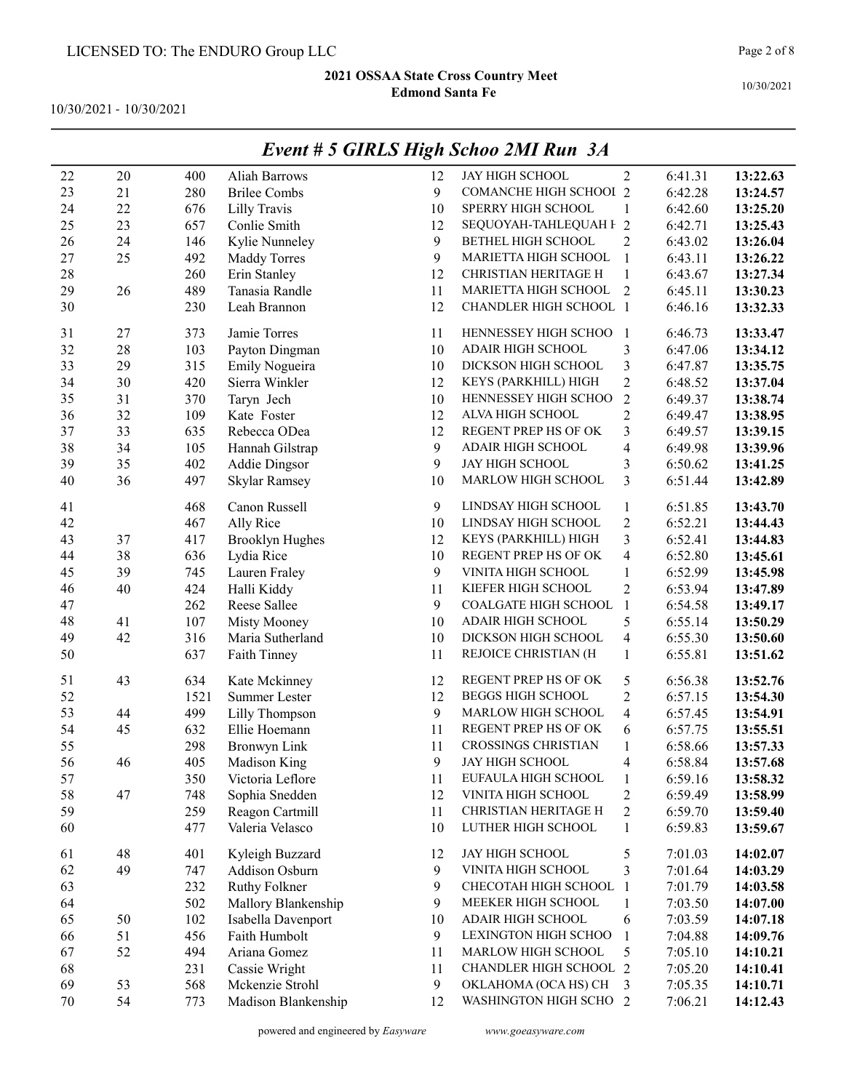10/30/2021 - 10/30/2021

| 22     | 20 | 400  | <b>Aliah Barrows</b>   | 12 | JAY HIGH SCHOOL               | $\overline{2}$          | 6:41.31 | 13:22.63 |
|--------|----|------|------------------------|----|-------------------------------|-------------------------|---------|----------|
| 23     | 21 | 280  | <b>Brilee Combs</b>    | 9  | <b>COMANCHE HIGH SCHOOI 2</b> |                         | 6:42.28 | 13:24.57 |
| 24     | 22 | 676  | Lilly Travis           | 10 | SPERRY HIGH SCHOOL            | $\mathbf{1}$            | 6:42.60 | 13:25.20 |
| 25     | 23 | 657  | Conlie Smith           | 12 | SEQUOYAH-TAHLEQUAH F 2        |                         | 6:42.71 | 13:25.43 |
| 26     | 24 | 146  | Kylie Nunneley         | 9  | <b>BETHEL HIGH SCHOOL</b>     | $\overline{2}$          | 6:43.02 | 13:26.04 |
| 27     | 25 | 492  | <b>Maddy Torres</b>    | 9  | MARIETTA HIGH SCHOOL          | $\mathbf{1}$            | 6:43.11 | 13:26.22 |
| 28     |    | 260  | Erin Stanley           | 12 | CHRISTIAN HERITAGE H          | $\mathbf{1}$            | 6:43.67 | 13:27.34 |
| 29     | 26 | 489  | Tanasia Randle         | 11 | MARIETTA HIGH SCHOOL          | $\overline{2}$          | 6:45.11 | 13:30.23 |
| 30     |    | 230  | Leah Brannon           | 12 | <b>CHANDLER HIGH SCHOOL 1</b> |                         | 6:46.16 | 13:32.33 |
| 31     | 27 | 373  | Jamie Torres           | 11 | HENNESSEY HIGH SCHOO          | -1                      | 6:46.73 | 13:33.47 |
| 32     | 28 | 103  | Payton Dingman         | 10 | ADAIR HIGH SCHOOL             | $\mathfrak{Z}$          | 6:47.06 | 13:34.12 |
| 33     | 29 | 315  | Emily Nogueira         | 10 | DICKSON HIGH SCHOOL           | $\mathfrak{Z}$          | 6:47.87 | 13:35.75 |
| 34     | 30 | 420  | Sierra Winkler         | 12 | KEYS (PARKHILL) HIGH          | $\overline{2}$          | 6:48.52 | 13:37.04 |
| 35     | 31 | 370  | Taryn Jech             | 10 | HENNESSEY HIGH SCHOO          | $\overline{2}$          | 6:49.37 | 13:38.74 |
| 36     | 32 | 109  | Kate Foster            | 12 | ALVA HIGH SCHOOL              | $\overline{2}$          | 6:49.47 | 13:38.95 |
| 37     | 33 | 635  | Rebecca ODea           | 12 | REGENT PREP HS OF OK          | $\mathfrak{Z}$          | 6:49.57 | 13:39.15 |
| 38     | 34 | 105  | Hannah Gilstrap        | 9  | ADAIR HIGH SCHOOL             | $\overline{4}$          | 6:49.98 | 13:39.96 |
| 39     | 35 | 402  | <b>Addie Dingsor</b>   | 9  | JAY HIGH SCHOOL               | $\mathfrak{Z}$          | 6:50.62 | 13:41.25 |
| 40     | 36 | 497  | Skylar Ramsey          | 10 | MARLOW HIGH SCHOOL            | 3                       | 6:51.44 | 13:42.89 |
|        |    |      |                        | 9  |                               |                         |         |          |
| 41     |    | 468  | Canon Russell          |    | LINDSAY HIGH SCHOOL           | $\mathbf{1}$            | 6:51.85 | 13:43.70 |
| 42     |    | 467  | Ally Rice              | 10 | LINDSAY HIGH SCHOOL           | $\sqrt{2}$              | 6:52.21 | 13:44.43 |
| 43     | 37 | 417  | <b>Brooklyn Hughes</b> | 12 | KEYS (PARKHILL) HIGH          | 3                       | 6:52.41 | 13:44.83 |
| 44     | 38 | 636  | Lydia Rice             | 10 | REGENT PREP HS OF OK          | $\overline{\mathbf{4}}$ | 6:52.80 | 13:45.61 |
| 45     | 39 | 745  | Lauren Fraley          | 9  | VINITA HIGH SCHOOL            | 1                       | 6:52.99 | 13:45.98 |
| 46     | 40 | 424  | Halli Kiddy            | 11 | KIEFER HIGH SCHOOL            | $\overline{c}$          | 6:53.94 | 13:47.89 |
| 47     |    | 262  | Reese Sallee           | 9  | COALGATE HIGH SCHOOL          | $\mathbf{1}$            | 6:54.58 | 13:49.17 |
| 48     | 41 | 107  | Misty Mooney           | 10 | ADAIR HIGH SCHOOL             | 5                       | 6:55.14 | 13:50.29 |
| 49     | 42 | 316  | Maria Sutherland       | 10 | DICKSON HIGH SCHOOL           | $\overline{4}$          | 6:55.30 | 13:50.60 |
| 50     |    | 637  | Faith Tinney           | 11 | REJOICE CHRISTIAN (H          | $\mathbf{1}$            | 6:55.81 | 13:51.62 |
| 51     | 43 | 634  | Kate Mckinney          | 12 | REGENT PREP HS OF OK          | 5                       | 6:56.38 | 13:52.76 |
| 52     |    | 1521 | Summer Lester          | 12 | <b>BEGGS HIGH SCHOOL</b>      | $\mathfrak{2}$          | 6:57.15 | 13:54.30 |
| 53     | 44 | 499  | Lilly Thompson         | 9  | MARLOW HIGH SCHOOL            | $\overline{4}$          | 6:57.45 | 13:54.91 |
| 54     | 45 | 632  | Ellie Hoemann          | 11 | REGENT PREP HS OF OK          | 6                       | 6:57.75 | 13:55.51 |
| 55     |    | 298  | <b>Bronwyn Link</b>    | 11 | <b>CROSSINGS CHRISTIAN</b>    | 1                       | 6:58.66 | 13:57.33 |
| 56     | 46 | 405  | Madison King           | 9  | <b>JAY HIGH SCHOOL</b>        | $\overline{4}$          | 6:58.84 | 13:57.68 |
| 57     |    | 350  | Victoria Leflore       | 11 | EUFAULA HIGH SCHOOL           | $\mathbf{1}$            | 6:59.16 | 13:58.32 |
| 58     | 47 | 748  | Sophia Snedden         | 12 | VINITA HIGH SCHOOL            | $\overline{c}$          | 6:59.49 | 13:58.99 |
| 59     |    | 259  | Reagon Cartmill        | 11 | CHRISTIAN HERITAGE H          | $\overline{c}$          | 6:59.70 | 13:59.40 |
| 60     |    | 477  | Valeria Velasco        | 10 | LUTHER HIGH SCHOOL            | $\mathbf{1}$            | 6:59.83 | 13:59.67 |
| 61     | 48 | 401  | Kyleigh Buzzard        | 12 | JAY HIGH SCHOOL               | 5                       | 7:01.03 | 14:02.07 |
| 62     | 49 | 747  | Addison Osburn         | 9  | VINITA HIGH SCHOOL            | 3                       | 7:01.64 | 14:03.29 |
| 63     |    | 232  | <b>Ruthy Folkner</b>   | 9  | CHECOTAH HIGH SCHOOL          | -1                      | 7:01.79 | 14:03.58 |
| 64     |    | 502  | Mallory Blankenship    | 9  | MEEKER HIGH SCHOOL            | 1                       | 7:03.50 | 14:07.00 |
| 65     | 50 | 102  | Isabella Davenport     | 10 | ADAIR HIGH SCHOOL             | 6                       | 7:03.59 | 14:07.18 |
| 66     | 51 | 456  | Faith Humbolt          | 9  | LEXINGTON HIGH SCHOO          | $\mathbf{1}$            | 7:04.88 | 14:09.76 |
| 67     | 52 | 494  | Ariana Gomez           | 11 | MARLOW HIGH SCHOOL            | 5                       | 7:05.10 | 14:10.21 |
| 68     |    | 231  | Cassie Wright          | 11 | CHANDLER HIGH SCHOOL 2        |                         | 7:05.20 | 14:10.41 |
| 69     | 53 |      | Mckenzie Strohl        | 9  | OKLAHOMA (OCA HS) CH          |                         | 7:05.35 |          |
|        |    | 568  |                        |    |                               | 3                       |         | 14:10.71 |
| $70\,$ | 54 | 773  | Madison Blankenship    | 12 | WASHINGTON HIGH SCHO 2        |                         | 7:06.21 | 14:12.43 |

## Event # 5 GIRLS High Schoo 2MI Run 3A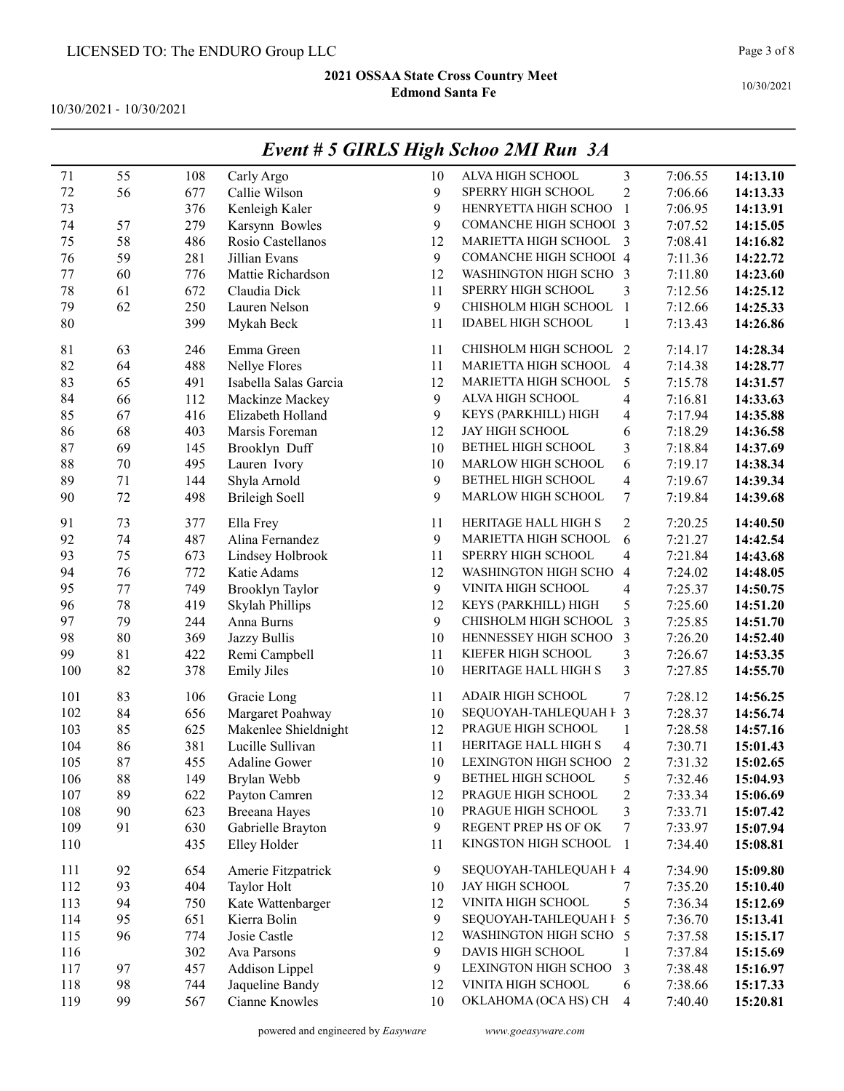10/30/2021 - 10/30/2021

|         |        |     |                       |    | $L$ <i>vent</i> $\#$ 3 <b>GIALS</b> $H$ $g$ <i>h</i> $S$ <i>Choo</i> $2$ <i>MI</i> $R$ <i>MH</i> $3$ <i>A</i> |                         |         |          |
|---------|--------|-----|-----------------------|----|---------------------------------------------------------------------------------------------------------------|-------------------------|---------|----------|
| 71      | 55     | 108 | Carly Argo            | 10 | ALVA HIGH SCHOOL                                                                                              | 3                       | 7:06.55 | 14:13.10 |
| 72      | 56     | 677 | Callie Wilson         | 9  | SPERRY HIGH SCHOOL                                                                                            | $\overline{2}$          | 7:06.66 | 14:13.33 |
| 73      |        | 376 | Kenleigh Kaler        | 9  | HENRYETTA HIGH SCHOO                                                                                          | $\mathbf{1}$            | 7:06.95 | 14:13.91 |
| 74      | 57     | 279 | Karsynn Bowles        | 9  | <b>COMANCHE HIGH SCHOOI 3</b>                                                                                 |                         | 7:07.52 | 14:15.05 |
| 75      | 58     | 486 | Rosio Castellanos     | 12 | MARIETTA HIGH SCHOOL                                                                                          | $\overline{3}$          | 7:08.41 | 14:16.82 |
| 76      | 59     | 281 | Jillian Evans         | 9  | COMANCHE HIGH SCHOOI 4                                                                                        |                         | 7:11.36 | 14:22.72 |
| $77 \,$ | 60     | 776 | Mattie Richardson     | 12 | WASHINGTON HIGH SCHO 3                                                                                        |                         | 7:11.80 | 14:23.60 |
| 78      | 61     | 672 | Claudia Dick          | 11 | SPERRY HIGH SCHOOL                                                                                            | 3                       | 7:12.56 | 14:25.12 |
| 79      | 62     | 250 | Lauren Nelson         | 9  | CHISHOLM HIGH SCHOOL                                                                                          | $\overline{1}$          | 7:12.66 | 14:25.33 |
| 80      |        | 399 | Mykah Beck            | 11 | <b>IDABEL HIGH SCHOOL</b>                                                                                     | $\mathbf{1}$            | 7:13.43 | 14:26.86 |
| 81      | 63     | 246 | Emma Green            | 11 | CHISHOLM HIGH SCHOOL 2                                                                                        |                         | 7:14.17 | 14:28.34 |
| 82      | 64     | 488 | Nellye Flores         | 11 | MARIETTA HIGH SCHOOL                                                                                          | $\overline{4}$          | 7:14.38 | 14:28.77 |
| 83      | 65     | 491 | Isabella Salas Garcia | 12 | MARIETTA HIGH SCHOOL                                                                                          | 5                       | 7:15.78 | 14:31.57 |
| 84      | 66     | 112 | Mackinze Mackey       | 9  | ALVA HIGH SCHOOL                                                                                              | 4                       | 7:16.81 | 14:33.63 |
| 85      | 67     | 416 | Elizabeth Holland     | 9  | KEYS (PARKHILL) HIGH                                                                                          | 4                       | 7:17.94 | 14:35.88 |
| 86      | 68     | 403 | Marsis Foreman        | 12 | <b>JAY HIGH SCHOOL</b>                                                                                        | 6                       | 7:18.29 | 14:36.58 |
| 87      | 69     | 145 | Brooklyn Duff         | 10 | BETHEL HIGH SCHOOL                                                                                            | 3                       | 7:18.84 | 14:37.69 |
| 88      | $70\,$ | 495 | Lauren Ivory          | 10 | MARLOW HIGH SCHOOL                                                                                            | 6                       | 7:19.17 | 14:38.34 |
| 89      | 71     | 144 | Shyla Arnold          | 9  | BETHEL HIGH SCHOOL                                                                                            | 4                       | 7:19.67 | 14:39.34 |
| 90      | 72     | 498 | <b>Brileigh Soell</b> | 9  | MARLOW HIGH SCHOOL                                                                                            | 7                       | 7:19.84 | 14:39.68 |
| 91      | 73     | 377 | Ella Frey             | 11 | HERITAGE HALL HIGH S                                                                                          | 2                       | 7:20.25 | 14:40.50 |
| 92      | 74     | 487 | Alina Fernandez       | 9  | MARIETTA HIGH SCHOOL                                                                                          | 6                       | 7:21.27 | 14:42.54 |
| 93      | 75     | 673 | Lindsey Holbrook      | 11 | SPERRY HIGH SCHOOL                                                                                            | 4                       | 7:21.84 | 14:43.68 |
| 94      | 76     | 772 | Katie Adams           | 12 | WASHINGTON HIGH SCHO                                                                                          | 4                       | 7:24.02 | 14:48.05 |
| 95      | 77     | 749 | Brooklyn Taylor       | 9  | VINITA HIGH SCHOOL                                                                                            | 4                       | 7:25.37 | 14:50.75 |
| 96      | 78     | 419 | Skylah Phillips       | 12 | KEYS (PARKHILL) HIGH                                                                                          | 5                       | 7:25.60 | 14:51.20 |
| 97      | 79     | 244 | Anna Burns            | 9  | CHISHOLM HIGH SCHOOL                                                                                          | 3                       | 7:25.85 | 14:51.70 |
| 98      | $80\,$ | 369 | Jazzy Bullis          | 10 | HENNESSEY HIGH SCHOO                                                                                          | 3                       | 7:26.20 | 14:52.40 |
| 99      | 81     | 422 | Remi Campbell         | 11 | KIEFER HIGH SCHOOL                                                                                            | 3                       | 7:26.67 | 14:53.35 |
| 100     | 82     | 378 | <b>Emily Jiles</b>    | 10 | HERITAGE HALL HIGH S                                                                                          | 3                       | 7:27.85 | 14:55.70 |
| 101     | 83     | 106 | Gracie Long           | 11 | <b>ADAIR HIGH SCHOOL</b>                                                                                      | 7                       | 7:28.12 | 14:56.25 |
| 102     | 84     | 656 | Margaret Poahway      | 10 | SEQUOYAH-TAHLEQUAH F 3                                                                                        |                         | 7:28.37 | 14:56.74 |
| 103     | 85     | 625 | Makenlee Shieldnight  | 12 | PRAGUE HIGH SCHOOL                                                                                            | $\mathbf{1}$            | 7:28.58 | 14:57.16 |
| 104     | 86     | 381 | Lucille Sullivan      | 11 | HERITAGE HALL HIGH S                                                                                          | $\overline{\mathbf{4}}$ | 7:30.71 | 15:01.43 |
| 105     | 87     | 455 | <b>Adaline Gower</b>  | 10 | LEXINGTON HIGH SCHOO                                                                                          | 2                       | 7:31.32 | 15:02.65 |
| 106     | 88     | 149 | Brylan Webb           | 9  | BETHEL HIGH SCHOOL                                                                                            | 5                       | 7:32.46 | 15:04.93 |
| 107     | 89     | 622 | Payton Camren         | 12 | PRAGUE HIGH SCHOOL                                                                                            | $\overline{\mathbf{c}}$ | 7:33.34 | 15:06.69 |
| 108     | 90     | 623 | <b>Breeana Hayes</b>  | 10 | PRAGUE HIGH SCHOOL                                                                                            | 3                       | 7:33.71 | 15:07.42 |
| 109     | 91     | 630 | Gabrielle Brayton     | 9  | REGENT PREP HS OF OK                                                                                          | 7                       | 7:33.97 | 15:07.94 |
| 110     |        | 435 | Elley Holder          | 11 | KINGSTON HIGH SCHOOL                                                                                          | $\mathbf{1}$            | 7:34.40 | 15:08.81 |
| 111     | 92     | 654 | Amerie Fitzpatrick    | 9  | SEQUOYAH-TAHLEQUAH F 4                                                                                        |                         | 7:34.90 | 15:09.80 |
| 112     | 93     | 404 | Taylor Holt           | 10 | JAY HIGH SCHOOL                                                                                               | 7                       | 7:35.20 | 15:10.40 |
| 113     | 94     | 750 | Kate Wattenbarger     | 12 | VINITA HIGH SCHOOL                                                                                            | 5                       | 7:36.34 | 15:12.69 |
| 114     | 95     | 651 | Kierra Bolin          | 9  | SEQUOYAH-TAHLEQUAH F 5                                                                                        |                         | 7:36.70 | 15:13.41 |
| 115     | 96     | 774 | Josie Castle          | 12 | WASHINGTON HIGH SCHO 5                                                                                        |                         | 7:37.58 | 15:15.17 |
| 116     |        | 302 | Ava Parsons           | 9  | DAVIS HIGH SCHOOL                                                                                             | 1                       | 7:37.84 | 15:15.69 |
| 117     | 97     | 457 | <b>Addison Lippel</b> | 9  | LEXINGTON HIGH SCHOO                                                                                          | 3                       | 7:38.48 | 15:16.97 |
| 118     | 98     | 744 | Jaqueline Bandy       | 12 | VINITA HIGH SCHOOL                                                                                            | 6                       | 7:38.66 | 15:17.33 |
| 119     | 99     | 567 | Cianne Knowles        | 10 | OKLAHOMA (OCA HS) CH                                                                                          | $\overline{4}$          | 7:40.40 | 15:20.81 |

## Event # 5 GIRLS High Schoo 2MI Run 3A

powered and engineered by Easyware www.goeasyware.com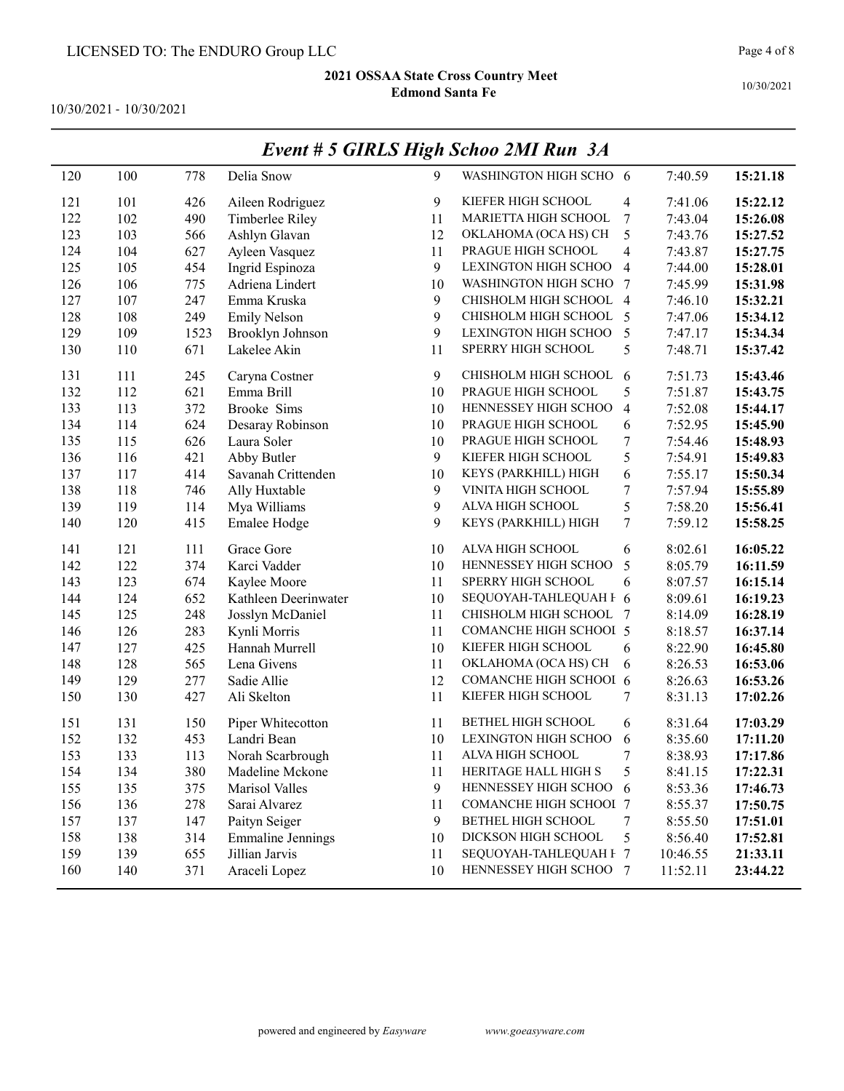10/30/2021 - 10/30/2021

| 120 | 100 | 778  | Delia Snow               | 9              | WASHINGTON HIGH SCHO 6        |                          | 7:40.59  | 15:21.18 |
|-----|-----|------|--------------------------|----------------|-------------------------------|--------------------------|----------|----------|
| 121 | 101 | 426  | Aileen Rodriguez         | 9              | KIEFER HIGH SCHOOL            | 4                        | 7:41.06  | 15:22.12 |
| 122 | 102 | 490  | Timberlee Riley          | 11             | MARIETTA HIGH SCHOOL          | 7                        | 7:43.04  | 15:26.08 |
| 123 | 103 | 566  | Ashlyn Glavan            | 12             | OKLAHOMA (OCA HS) CH          | 5                        | 7:43.76  | 15:27.52 |
| 124 | 104 | 627  | Ayleen Vasquez           | 11             | PRAGUE HIGH SCHOOL            | 4                        | 7:43.87  | 15:27.75 |
| 125 | 105 | 454  | Ingrid Espinoza          | $\mathbf{9}$   | LEXINGTON HIGH SCHOO          | 4                        | 7:44.00  | 15:28.01 |
| 126 | 106 | 775  | Adriena Lindert          | 10             | WASHINGTON HIGH SCHO          | 7                        | 7:45.99  | 15:31.98 |
| 127 | 107 | 247  | Emma Kruska              | $\mathbf{9}$   | CHISHOLM HIGH SCHOOL 4        |                          | 7:46.10  | 15:32.21 |
| 128 | 108 | 249  | <b>Emily Nelson</b>      | 9              | CHISHOLM HIGH SCHOOL 5        |                          | 7:47.06  | 15:34.12 |
| 129 | 109 | 1523 | Brooklyn Johnson         | 9              | LEXINGTON HIGH SCHOO          | 5                        | 7:47.17  | 15:34.34 |
| 130 | 110 | 671  | Lakelee Akin             | 11             | SPERRY HIGH SCHOOL            | 5                        | 7:48.71  | 15:37.42 |
| 131 | 111 | 245  | Caryna Costner           | 9              | CHISHOLM HIGH SCHOOL 6        |                          | 7:51.73  | 15:43.46 |
| 132 | 112 | 621  | Emma Brill               | 10             | PRAGUE HIGH SCHOOL            | 5                        | 7:51.87  | 15:43.75 |
| 133 | 113 | 372  | Brooke Sims              | 10             | HENNESSEY HIGH SCHOO          | $\overline{\mathcal{A}}$ | 7:52.08  | 15:44.17 |
| 134 | 114 | 624  | Desaray Robinson         | 10             | PRAGUE HIGH SCHOOL            | 6                        | 7:52.95  | 15:45.90 |
| 135 | 115 | 626  | Laura Soler              | 10             | PRAGUE HIGH SCHOOL            | 7                        | 7:54.46  | 15:48.93 |
| 136 | 116 | 421  | Abby Butler              | 9              | KIEFER HIGH SCHOOL            | 5                        | 7:54.91  | 15:49.83 |
| 137 | 117 | 414  | Savanah Crittenden       | 10             | KEYS (PARKHILL) HIGH          | 6                        | 7:55.17  | 15:50.34 |
| 138 | 118 | 746  | Ally Huxtable            | $\mathfrak{g}$ | VINITA HIGH SCHOOL            | 7                        | 7:57.94  | 15:55.89 |
| 139 | 119 | 114  | Mya Williams             | 9              | ALVA HIGH SCHOOL              | 5                        | 7:58.20  | 15:56.41 |
| 140 | 120 | 415  | Emalee Hodge             | 9              | KEYS (PARKHILL) HIGH          | 7                        | 7:59.12  | 15:58.25 |
| 141 | 121 | 111  | Grace Gore               | 10             | ALVA HIGH SCHOOL              | 6                        | 8:02.61  | 16:05.22 |
| 142 | 122 | 374  | Karci Vadder             | 10             | HENNESSEY HIGH SCHOO          | 5                        | 8:05.79  | 16:11.59 |
| 143 | 123 | 674  | Kaylee Moore             | 11             | SPERRY HIGH SCHOOL            | 6                        | 8:07.57  | 16:15.14 |
| 144 | 124 | 652  | Kathleen Deerinwater     | 10             | SEQUOYAH-TAHLEQUAH F 6        |                          | 8:09.61  | 16:19.23 |
| 145 | 125 | 248  | Josslyn McDaniel         | 11             | CHISHOLM HIGH SCHOOL          | 7                        | 8:14.09  | 16:28.19 |
| 146 | 126 | 283  | Kynli Morris             | 11             | <b>COMANCHE HIGH SCHOOI 5</b> |                          | 8:18.57  | 16:37.14 |
| 147 | 127 | 425  | Hannah Murrell           | 10             | KIEFER HIGH SCHOOL            | 6                        | 8:22.90  | 16:45.80 |
| 148 | 128 | 565  | Lena Givens              | 11             | OKLAHOMA (OCA HS) CH          | 6                        | 8:26.53  | 16:53.06 |
| 149 | 129 | 277  | Sadie Allie              | 12             | COMANCHE HIGH SCHOOI 6        |                          | 8:26.63  | 16:53.26 |
| 150 | 130 | 427  | Ali Skelton              | 11             | KIEFER HIGH SCHOOL            | 7                        | 8:31.13  | 17:02.26 |
| 151 | 131 | 150  | Piper Whitecotton        | 11             | BETHEL HIGH SCHOOL            | 6                        | 8:31.64  | 17:03.29 |
| 152 | 132 | 453  | Landri Bean              | 10             | LEXINGTON HIGH SCHOO          | 6                        | 8:35.60  | 17:11.20 |
| 153 | 133 | 113  | Norah Scarbrough         | 11             | ALVA HIGH SCHOOL              | 7                        | 8:38.93  | 17:17.86 |
| 154 | 134 | 380  | Madeline Mckone          | 11             | HERITAGE HALL HIGH S          | 5                        | 8:41.15  | 17:22.31 |
| 155 | 135 | 375  | Marisol Valles           | 9              | HENNESSEY HIGH SCHOO          | 6                        | 8:53.36  | 17:46.73 |
| 156 | 136 | 278  | Sarai Alvarez            | 11             | <b>COMANCHE HIGH SCHOOI 7</b> |                          | 8:55.37  | 17:50.75 |
| 157 | 137 | 147  | Paityn Seiger            | 9              | BETHEL HIGH SCHOOL            | 7                        | 8:55.50  | 17:51.01 |
| 158 | 138 | 314  | <b>Emmaline Jennings</b> | 10             | DICKSON HIGH SCHOOL           | 5                        | 8:56.40  | 17:52.81 |
| 159 | 139 | 655  | Jillian Jarvis           | 11             | SEQUOYAH-TAHLEQUAH F 7        |                          | 10:46.55 | 21:33.11 |
| 160 | 140 | 371  | Araceli Lopez            | 10             | HENNESSEY HIGH SCHOO 7        |                          | 11:52.11 | 23:44.22 |

# Event # 5 GIRLS High Schoo 2MI Run 3A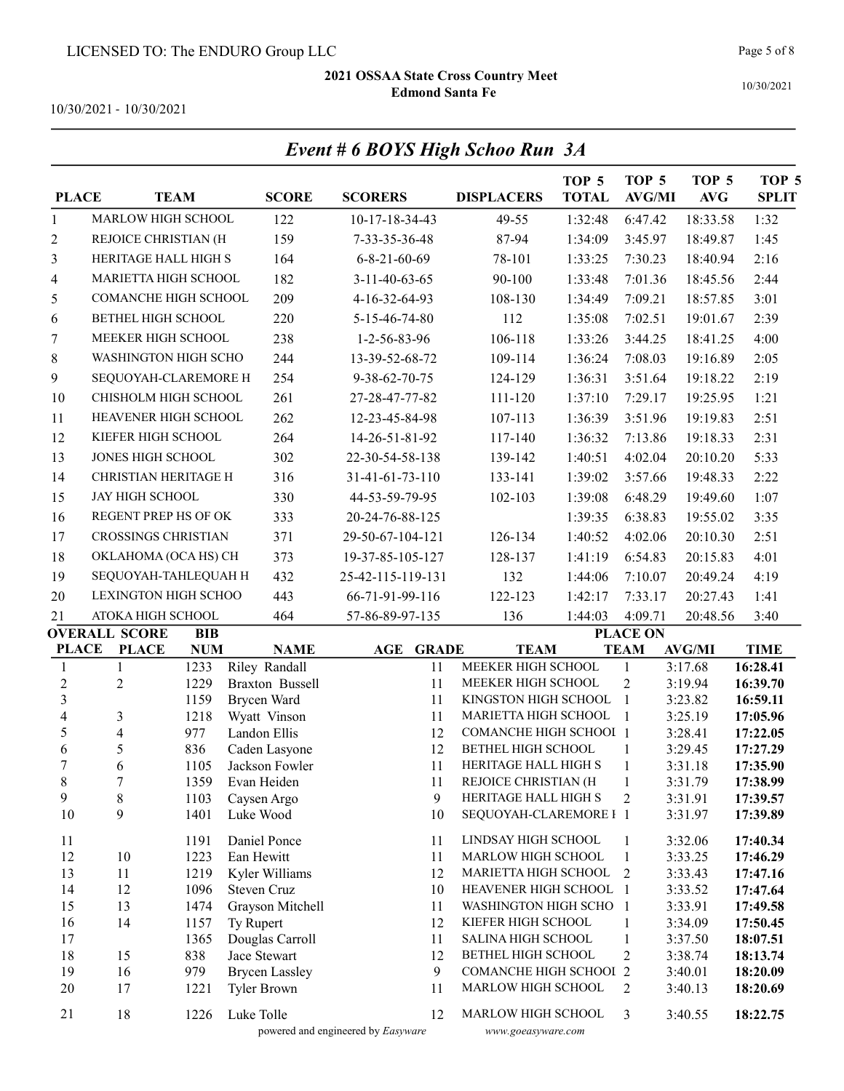Event # 6 BOYS High Schoo Run 3A

10/30/2021

10/30/2021 - 10/30/2021

| <b>PLACE</b>      |                              | <b>TEAM</b>              |            | <b>SCORE</b>                  | <b>SCORERS</b>                     |              | <b>DISPLACERS</b>                              | TOP <sub>5</sub><br><b>TOTAL</b> | TOP <sub>5</sub><br><b>AVG/MI</b> | TOP <sub>5</sub><br><b>AVG</b> | TOP <sub>5</sub><br><b>SPLIT</b> |
|-------------------|------------------------------|--------------------------|------------|-------------------------------|------------------------------------|--------------|------------------------------------------------|----------------------------------|-----------------------------------|--------------------------------|----------------------------------|
| $\mathbf{1}$      | MARLOW HIGH SCHOOL           |                          |            | 122                           | 10-17-18-34-43                     |              | 49-55                                          | 1:32:48                          | 6:47.42                           | 18:33.58                       | 1:32                             |
| $\overline{2}$    | REJOICE CHRISTIAN (H         |                          |            | 159                           | 7-33-35-36-48                      |              | 87-94                                          | 1:34:09                          | 3:45.97                           | 18:49.87                       | 1:45                             |
| 3                 | HERITAGE HALL HIGH S         |                          |            | 164                           | $6 - 8 - 21 - 60 - 69$             |              | 78-101                                         | 1:33:25                          | 7:30.23                           | 18:40.94                       | 2:16                             |
| 4                 | MARIETTA HIGH SCHOOL         |                          |            | 182                           | $3 - 11 - 40 - 63 - 65$            |              | 90-100                                         | 1:33:48                          | 7:01.36                           | 18:45.56                       | 2:44                             |
| 5                 | COMANCHE HIGH SCHOOL         |                          |            | 209                           | 4-16-32-64-93                      |              | 108-130                                        | 1:34:49                          | 7:09.21                           | 18:57.85                       | 3:01                             |
| 6                 | BETHEL HIGH SCHOOL           |                          |            | 220                           | 5-15-46-74-80                      |              | 112                                            | 1:35:08                          | 7:02.51                           | 19:01.67                       | 2:39                             |
| 7                 | MEEKER HIGH SCHOOL           |                          |            | 238                           | $1 - 2 - 56 - 83 - 96$             |              | 106-118                                        | 1:33:26                          | 3:44.25                           | 18:41.25                       | 4:00                             |
| 8                 | WASHINGTON HIGH SCHO         |                          |            | 244                           | 13-39-52-68-72                     |              | 109-114                                        | 1:36:24                          | 7:08.03                           | 19:16.89                       | 2:05                             |
| 9                 | SEQUOYAH-CLAREMORE H         |                          |            | 254                           | 9-38-62-70-75                      |              | 124-129                                        | 1:36:31                          | 3:51.64                           | 19:18.22                       | 2:19                             |
| 10                | CHISHOLM HIGH SCHOOL         |                          |            | 261                           | 27-28-47-77-82                     |              | 111-120                                        | 1:37:10                          | 7:29.17                           | 19:25.95                       | 1:21                             |
| 11                | HEAVENER HIGH SCHOOL         |                          |            | 262                           | 12-23-45-84-98                     |              | 107-113                                        | 1:36:39                          | 3:51.96                           | 19:19.83                       | 2:51                             |
| 12                | KIEFER HIGH SCHOOL           |                          |            | 264                           | 14-26-51-81-92                     |              | 117-140                                        | 1:36:32                          | 7:13.86                           | 19:18.33                       | 2:31                             |
| 13                | JONES HIGH SCHOOL            |                          |            | 302                           | 22-30-54-58-138                    |              | 139-142                                        | 1:40:51                          | 4:02.04                           | 20:10.20                       | 5:33                             |
| 14                | CHRISTIAN HERITAGE H         |                          |            | 316                           | 31-41-61-73-110                    |              | 133-141                                        | 1:39:02                          |                                   | 19:48.33                       | 2:22                             |
|                   |                              |                          |            |                               |                                    |              |                                                |                                  | 3:57.66                           |                                |                                  |
| 15                | <b>JAY HIGH SCHOOL</b>       |                          |            | 330                           | 44-53-59-79-95                     |              | 102-103                                        | 1:39:08                          | 6:48.29                           | 19:49.60                       | 1:07                             |
| 16                | REGENT PREP HS OF OK         |                          |            | 333                           | 20-24-76-88-125                    |              |                                                | 1:39:35                          | 6:38.83                           | 19:55.02                       | 3:35                             |
| 17                | <b>CROSSINGS CHRISTIAN</b>   |                          |            | 371                           | 29-50-67-104-121                   |              | 126-134                                        | 1:40:52                          | 4:02.06                           | 20:10.30                       | 2:51                             |
| $18\,$            | OKLAHOMA (OCA HS) CH         |                          |            | 373                           | 19-37-85-105-127                   |              | 128-137                                        | 1:41:19                          | 6:54.83                           | 20:15.83                       | 4:01                             |
| 19                | SEQUOYAH-TAHLEQUAH H         |                          |            | 432                           | 25-42-115-119-131                  |              | 132                                            | 1:44:06                          | 7:10.07                           | 20:49.24                       | 4:19                             |
| 20                | LEXINGTON HIGH SCHOO         |                          |            | 443                           | 66-71-91-99-116                    |              | 122-123                                        | 1:42:17                          | 7:33.17                           | 20:27.43                       | 1:41                             |
| 21                | ATOKA HIGH SCHOOL            |                          |            | 464                           | 57-86-89-97-135                    |              | 136                                            | 1:44:03                          | 4:09.71                           | 20:48.56                       | 3:40                             |
|                   | <b>OVERALL SCORE</b>         | <b>BIB</b><br><b>NUM</b> |            |                               |                                    | <b>GRADE</b> |                                                |                                  | <b>PLACE ON</b>                   |                                | <b>TIME</b>                      |
| <b>PLACE</b><br>1 | <b>PLACE</b><br>$\mathbf{1}$ | 1233                     |            | <b>NAME</b><br>Riley Randall  | AGE                                | 11           | <b>TEAM</b><br>MEEKER HIGH SCHOOL              |                                  | <b>TEAM</b><br>$\mathbf{1}$       | <b>AVG/MI</b><br>3:17.68       | 16:28.41                         |
| $\overline{c}$    | $\overline{c}$               | 1229                     |            | Braxton Bussell               |                                    | 11           | MEEKER HIGH SCHOOL                             |                                  | $\overline{2}$                    | 3:19.94                        | 16:39.70                         |
| $\mathfrak{Z}$    |                              | 1159                     |            | Brycen Ward                   |                                    | 11           | KINGSTON HIGH SCHOOL                           |                                  | $\mathbf{1}$                      | 3:23.82                        | 16:59.11                         |
| 4                 | $\mathfrak{Z}$               | 1218                     |            | Wyatt Vinson                  |                                    | 11           | MARIETTA HIGH SCHOOL                           |                                  | $\overline{1}$                    | 3:25.19                        | 17:05.96                         |
| 5                 | $\overline{\mathbf{4}}$      | 977                      |            | Landon Ellis                  |                                    | 12           | <b>COMANCHE HIGH SCHOOI 1</b>                  |                                  |                                   | 3:28.41                        | 17:22.05                         |
| 6                 | 5                            | 836                      |            | Caden Lasyone                 |                                    | 12           | BETHEL HIGH SCHOOL                             |                                  | $\mathbf{1}$                      | 3:29.45                        | 17:27.29                         |
| 7                 | 6                            | 1105                     |            | Jackson Fowler                |                                    | 11           | HERITAGE HALL HIGH S                           |                                  | $\mathbf{1}$                      | 3:31.18                        | 17:35.90                         |
| 8                 | $\boldsymbol{7}$             |                          |            | 1359 Evan Heiden              |                                    | 11           | REJOICE CHRISTIAN (H                           |                                  | $\mathbf{1}$                      | 3:31.79                        | 17:38.99                         |
| 9<br>10           | 8<br>9                       | 1103<br>1401             |            | Caysen Argo<br>Luke Wood      |                                    | 9<br>10      | HERITAGE HALL HIGH S<br>SEQUOYAH-CLAREMORE I 1 |                                  | 2                                 | 3:31.91<br>3:31.97             | 17:39.57<br>17:39.89             |
|                   |                              |                          |            |                               |                                    |              |                                                |                                  |                                   |                                |                                  |
| 11                |                              | 1191                     |            | Daniel Ponce                  |                                    | 11           | LINDSAY HIGH SCHOOL                            |                                  | 1                                 | 3:32.06                        | 17:40.34                         |
| 12                | 10                           | 1223                     |            | Ean Hewitt                    |                                    | 11           | MARLOW HIGH SCHOOL                             |                                  | $\mathbf{1}$                      | 3:33.25                        | 17:46.29                         |
| 13<br>14          | 11<br>12                     | 1219<br>1096             |            | Kyler Williams<br>Steven Cruz |                                    | 12<br>10     | MARIETTA HIGH SCHOOL<br>HEAVENER HIGH SCHOOL 1 |                                  | 2                                 | 3:33.43<br>3:33.52             | 17:47.16<br>17:47.64             |
| 15                | 13                           | 1474                     |            | Grayson Mitchell              |                                    | 11           | WASHINGTON HIGH SCHO 1                         |                                  |                                   | 3:33.91                        | 17:49.58                         |
| 16                | 14                           | 1157                     | Ty Rupert  |                               |                                    | 12           | KIEFER HIGH SCHOOL                             |                                  | 1                                 | 3:34.09                        | 17:50.45                         |
| 17                |                              | 1365                     |            | Douglas Carroll               |                                    | 11           | SALINA HIGH SCHOOL                             |                                  | 1                                 | 3:37.50                        | 18:07.51                         |
| 18                | 15                           | 838                      |            | Jace Stewart                  |                                    | 12           | BETHEL HIGH SCHOOL                             |                                  | $\mathbf{2}$                      | 3:38.74                        | 18:13.74                         |
| 19                | 16                           | 979                      |            | <b>Brycen Lassley</b>         |                                    | 9            | COMANCHE HIGH SCHOOI 2                         |                                  |                                   | 3:40.01                        | 18:20.09                         |
| 20                | 17                           | 1221                     |            | <b>Tyler Brown</b>            |                                    | 11           | MARLOW HIGH SCHOOL                             |                                  | 2                                 | 3:40.13                        | 18:20.69                         |
| 21                | 18                           | 1226                     | Luke Tolle |                               | powered and engineered by Easyware | 12           | MARLOW HIGH SCHOOL<br>www.goeasyware.com       |                                  | 3                                 | 3:40.55                        | 18:22.75                         |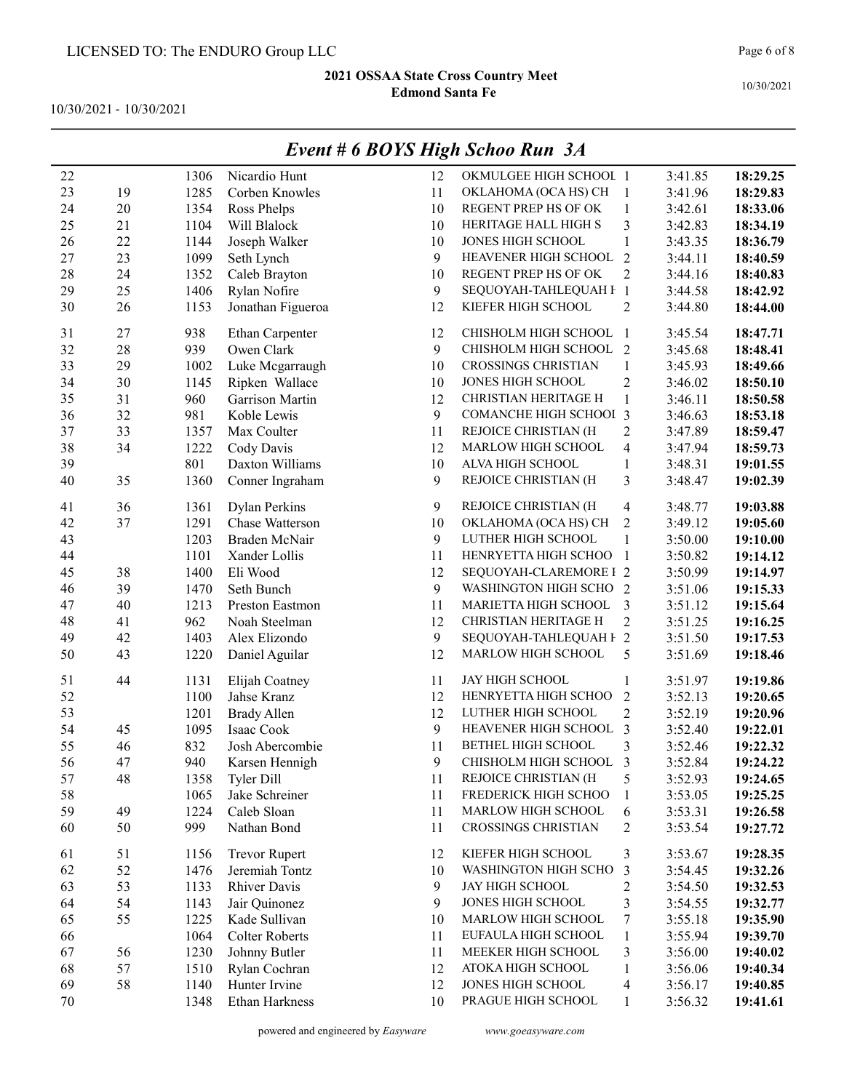10/30/2021 - 10/30/2021

|    |    |      | EVENI # 0 DUTS FIIGN SCHOO KUN JA |    |                               |                          |         |          |
|----|----|------|-----------------------------------|----|-------------------------------|--------------------------|---------|----------|
| 22 |    | 1306 | Nicardio Hunt                     | 12 | OKMULGEE HIGH SCHOOL 1        |                          | 3:41.85 | 18:29.25 |
| 23 | 19 | 1285 | Corben Knowles                    | 11 | OKLAHOMA (OCA HS) CH          | -1                       | 3:41.96 | 18:29.83 |
| 24 | 20 | 1354 | Ross Phelps                       | 10 | REGENT PREP HS OF OK          | $\mathbf{1}$             | 3:42.61 | 18:33.06 |
| 25 | 21 | 1104 | Will Blalock                      | 10 | HERITAGE HALL HIGH S          | 3                        | 3:42.83 | 18:34.19 |
| 26 | 22 | 1144 | Joseph Walker                     | 10 | JONES HIGH SCHOOL             | $\mathbf{1}$             | 3:43.35 | 18:36.79 |
| 27 | 23 | 1099 | Seth Lynch                        | 9  | HEAVENER HIGH SCHOOL          | $\overline{2}$           | 3:44.11 | 18:40.59 |
| 28 | 24 | 1352 | Caleb Brayton                     | 10 | REGENT PREP HS OF OK          | $\overline{2}$           | 3:44.16 | 18:40.83 |
| 29 | 25 | 1406 | Rylan Nofire                      | 9  | SEQUOYAH-TAHLEQUAH F 1        |                          | 3:44.58 | 18:42.92 |
| 30 | 26 | 1153 | Jonathan Figueroa                 | 12 | KIEFER HIGH SCHOOL            | $\overline{2}$           | 3:44.80 | 18:44.00 |
| 31 | 27 | 938  | Ethan Carpenter                   | 12 | CHISHOLM HIGH SCHOOL          | -1                       | 3:45.54 | 18:47.71 |
| 32 | 28 | 939  | Owen Clark                        | 9  | CHISHOLM HIGH SCHOOL          | 2                        | 3:45.68 | 18:48.41 |
| 33 | 29 | 1002 | Luke Mcgarraugh                   | 10 | <b>CROSSINGS CHRISTIAN</b>    | $\mathbf{1}$             | 3:45.93 | 18:49.66 |
| 34 | 30 | 1145 | Ripken Wallace                    | 10 | JONES HIGH SCHOOL             | $\overline{2}$           | 3:46.02 | 18:50.10 |
| 35 | 31 | 960  | Garrison Martin                   | 12 | CHRISTIAN HERITAGE H          | $\mathbf{1}$             | 3:46.11 | 18:50.58 |
| 36 | 32 | 981  | Koble Lewis                       | 9  | <b>COMANCHE HIGH SCHOOI 3</b> |                          | 3:46.63 | 18:53.18 |
| 37 | 33 | 1357 | Max Coulter                       | 11 | REJOICE CHRISTIAN (H          | $\overline{2}$           | 3:47.89 | 18:59.47 |
| 38 | 34 | 1222 | Cody Davis                        | 12 | MARLOW HIGH SCHOOL            | $\overline{\mathbf{4}}$  | 3:47.94 | 18:59.73 |
| 39 |    | 801  | Daxton Williams                   | 10 | ALVA HIGH SCHOOL              | $\mathbf{1}$             | 3:48.31 | 19:01.55 |
| 40 | 35 | 1360 | Conner Ingraham                   | 9  | REJOICE CHRISTIAN (H          | 3                        | 3:48.47 | 19:02.39 |
| 41 | 36 | 1361 | <b>Dylan Perkins</b>              | 9  | REJOICE CHRISTIAN (H          | 4                        | 3:48.77 | 19:03.88 |
| 42 | 37 | 1291 | Chase Watterson                   | 10 | OKLAHOMA (OCA HS) CH          | $\overline{2}$           | 3:49.12 | 19:05.60 |
| 43 |    | 1203 | Braden McNair                     | 9  | LUTHER HIGH SCHOOL            | 1                        | 3:50.00 | 19:10.00 |
| 44 |    | 1101 | Xander Lollis                     | 11 | HENRYETTA HIGH SCHOO          | -1                       | 3:50.82 | 19:14.12 |
| 45 | 38 | 1400 | Eli Wood                          | 12 | SEQUOYAH-CLAREMORE I 2        |                          | 3:50.99 | 19:14.97 |
| 46 | 39 | 1470 | Seth Bunch                        | 9  | WASHINGTON HIGH SCHO 2        |                          | 3:51.06 | 19:15.33 |
| 47 | 40 | 1213 | Preston Eastmon                   | 11 | MARIETTA HIGH SCHOOL          | 3                        | 3:51.12 | 19:15.64 |
| 48 | 41 | 962  | Noah Steelman                     | 12 | CHRISTIAN HERITAGE H          | $\overline{2}$           | 3:51.25 | 19:16.25 |
| 49 | 42 | 1403 | Alex Elizondo                     | 9  | SEQUOYAH-TAHLEQUAH F 2        |                          | 3:51.50 | 19:17.53 |
| 50 | 43 | 1220 | Daniel Aguilar                    | 12 | MARLOW HIGH SCHOOL            | 5                        | 3:51.69 | 19:18.46 |
| 51 | 44 | 1131 | Elijah Coatney                    | 11 | JAY HIGH SCHOOL               | $\mathbf{1}$             | 3:51.97 | 19:19.86 |
| 52 |    | 1100 | Jahse Kranz                       | 12 | HENRYETTA HIGH SCHOO          | $\overline{2}$           | 3:52.13 | 19:20.65 |
| 53 |    | 1201 | <b>Brady Allen</b>                | 12 | LUTHER HIGH SCHOOL            | $\overline{2}$           | 3:52.19 | 19:20.96 |
| 54 | 45 | 1095 | Isaac Cook                        | 9  | HEAVENER HIGH SCHOOL          | 3                        | 3:52.40 | 19:22.01 |
| 55 | 46 | 832  | Josh Abercombie                   | 11 | BETHEL HIGH SCHOOL            | 3                        | 3:52.46 | 19:22.32 |
| 56 | 47 | 940  | Karsen Hennigh                    | 9  | CHISHOLM HIGH SCHOOL          | 3                        | 3:52.84 | 19:24.22 |
| 57 | 48 | 1358 | <b>Tyler Dill</b>                 | 11 | REJOICE CHRISTIAN (H          | 5                        | 3:52.93 | 19:24.65 |
| 58 |    | 1065 | Jake Schreiner                    | 11 | FREDERICK HIGH SCHOO          | $\mathbf{1}$             | 3:53.05 | 19:25.25 |
| 59 | 49 | 1224 | Caleb Sloan                       | 11 | MARLOW HIGH SCHOOL            | 6                        | 3:53.31 | 19:26.58 |
| 60 | 50 | 999  | Nathan Bond                       | 11 | CROSSINGS CHRISTIAN           | $\overline{c}$           | 3:53.54 | 19:27.72 |
| 61 | 51 | 1156 | <b>Trevor Rupert</b>              | 12 | KIEFER HIGH SCHOOL            | 3                        | 3:53.67 | 19:28.35 |
| 62 | 52 | 1476 | Jeremiah Tontz                    | 10 | WASHINGTON HIGH SCHO          | 3                        | 3:54.45 | 19:32.26 |
| 63 | 53 | 1133 | <b>Rhiver Davis</b>               | 9  | JAY HIGH SCHOOL               | $\overline{\mathbf{c}}$  | 3:54.50 | 19:32.53 |
| 64 | 54 | 1143 | Jair Quinonez                     | 9  | JONES HIGH SCHOOL             | $\mathfrak{Z}$           | 3:54.55 | 19:32.77 |
| 65 | 55 | 1225 | Kade Sullivan                     | 10 | MARLOW HIGH SCHOOL            | $\boldsymbol{7}$         | 3:55.18 | 19:35.90 |
| 66 |    | 1064 | <b>Colter Roberts</b>             | 11 | EUFAULA HIGH SCHOOL           | $\mathbf{1}$             | 3:55.94 | 19:39.70 |
| 67 | 56 | 1230 | Johnny Butler                     | 11 | MEEKER HIGH SCHOOL            | $\mathfrak{Z}$           | 3:56.00 | 19:40.02 |
| 68 | 57 | 1510 | Rylan Cochran                     | 12 | ATOKA HIGH SCHOOL             | $\mathbf{1}$             | 3:56.06 | 19:40.34 |
| 69 | 58 | 1140 | Hunter Irvine                     | 12 | JONES HIGH SCHOOL             | $\overline{\mathcal{A}}$ | 3:56.17 | 19:40.85 |
| 70 |    | 1348 | Ethan Harkness                    | 10 | PRAGUE HIGH SCHOOL            | $\mathbf{1}$             | 3:56.32 | 19:41.61 |
|    |    |      |                                   |    |                               |                          |         |          |

## Event # 6 BOYS High Schoo Run 3A

powered and engineered by Easyware www.goeasyware.com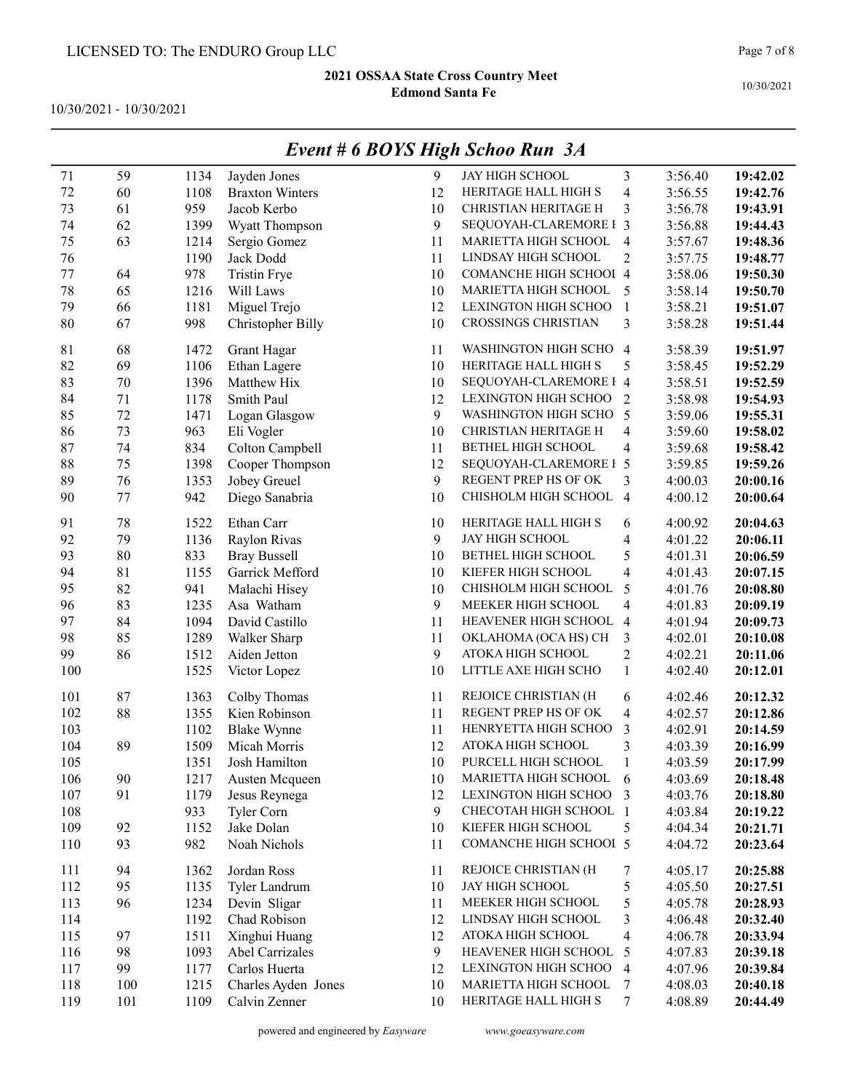10/30/2021 - 10/30/2021

| 71      | 59      | 1134 | Jayden Jones           | 9  | JAY HIGH SCHOOL           | 3                        | 3:56.40 | 19:42.02 |
|---------|---------|------|------------------------|----|---------------------------|--------------------------|---------|----------|
| 72      | 60      | 1108 | <b>Braxton Winters</b> | 12 | HERITAGE HALL HIGH S      | $\overline{\mathbf{4}}$  | 3:56.55 | 19:42.76 |
| 73      | 61      | 959  | Jacob Kerbo            | 10 | CHRISTIAN HERITAGE H      | 3                        | 3:56.78 | 19:43.91 |
| 74      | 62      | 1399 | Wyatt Thompson         | 9  | SEQUOYAH-CLAREMORE I 3    |                          | 3:56.88 | 19:44.43 |
| 75      | 63      | 1214 | Sergio Gomez           | 11 | MARIETTA HIGH SCHOOL      | $\overline{4}$           | 3:57.67 | 19:48.36 |
| 76      |         | 1190 | Jack Dodd              | 11 | LINDSAY HIGH SCHOOL       | $\overline{2}$           | 3:57.75 | 19:48.77 |
| $77 \,$ | 64      | 978  | <b>Tristin Frye</b>    | 10 | COMANCHE HIGH SCHOOI 4    |                          | 3:58.06 | 19:50.30 |
| 78      | 65      | 1216 | Will Laws              | 10 | MARIETTA HIGH SCHOOL      | 5                        | 3:58.14 | 19:50.70 |
| 79      | 66      | 1181 | Miguel Trejo           | 12 | LEXINGTON HIGH SCHOO      | $\overline{1}$           | 3:58.21 | 19:51.07 |
| 80      | 67      | 998  | Christopher Billy      | 10 | CROSSINGS CHRISTIAN       | 3                        | 3:58.28 | 19:51.44 |
| 81      | 68      | 1472 | Grant Hagar            | 11 | WASHINGTON HIGH SCHO      | 4                        | 3:58.39 | 19:51.97 |
| 82      | 69      | 1106 | Ethan Lagere           | 10 | HERITAGE HALL HIGH S      | 5                        | 3:58.45 | 19:52.29 |
| 83      | $70\,$  | 1396 | Matthew Hix            | 10 | SEQUOYAH-CLAREMORE I 4    |                          | 3:58.51 | 19:52.59 |
| 84      | 71      | 1178 | Smith Paul             | 12 | LEXINGTON HIGH SCHOO      | $\overline{2}$           | 3:58.98 | 19:54.93 |
| 85      | 72      | 1471 | Logan Glasgow          | 9  | WASHINGTON HIGH SCHO 5    |                          | 3:59.06 | 19:55.31 |
| 86      | 73      | 963  | Eli Vogler             | 10 | CHRISTIAN HERITAGE H      | $\overline{\mathbf{4}}$  | 3:59.60 | 19:58.02 |
| 87      | 74      | 834  | Colton Campbell        | 11 | <b>BETHEL HIGH SCHOOL</b> | $\overline{\mathbf{4}}$  | 3:59.68 | 19:58.42 |
| 88      | 75      | 1398 | Cooper Thompson        | 12 | SEQUOYAH-CLAREMORE I 5    |                          | 3:59.85 | 19:59.26 |
| 89      | 76      | 1353 | Jobey Greuel           | 9  | REGENT PREP HS OF OK      | 3                        | 4:00.03 | 20:00.16 |
| 90      | $77 \,$ | 942  | Diego Sanabria         | 10 | CHISHOLM HIGH SCHOOL      | $\overline{4}$           | 4:00.12 | 20:00.64 |
| 91      | 78      | 1522 | Ethan Carr             | 10 | HERITAGE HALL HIGH S      | 6                        | 4:00.92 | 20:04.63 |
| 92      | 79      | 1136 | Raylon Rivas           | 9  | JAY HIGH SCHOOL           | $\overline{\mathbf{4}}$  | 4:01.22 | 20:06.11 |
| 93      | 80      | 833  | <b>Bray Bussell</b>    | 10 | BETHEL HIGH SCHOOL        | 5                        | 4:01.31 | 20:06.59 |
| 94      | 81      | 1155 | Garrick Mefford        | 10 | KIEFER HIGH SCHOOL        | $\overline{\mathbf{4}}$  | 4:01.43 | 20:07.15 |
| 95      | 82      | 941  | Malachi Hisey          | 10 | CHISHOLM HIGH SCHOOL      | 5                        | 4:01.76 | 20:08.80 |
| 96      | 83      | 1235 | Asa Watham             | 9  | MEEKER HIGH SCHOOL        | $\overline{4}$           | 4:01.83 | 20:09.19 |
| 97      | 84      | 1094 | David Castillo         | 11 | HEAVENER HIGH SCHOOL      | $\overline{4}$           | 4:01.94 | 20:09.73 |
| 98      | 85      | 1289 | Walker Sharp           | 11 | OKLAHOMA (OCA HS) CH      | 3                        | 4:02.01 | 20:10.08 |
| 99      | 86      | 1512 | Aiden Jetton           | 9  | ATOKA HIGH SCHOOL         | $\mathbf{2}$             | 4:02.21 | 20:11.06 |
| 100     |         | 1525 | Victor Lopez           | 10 | LITTLE AXE HIGH SCHO      | $\mathbf{1}$             | 4:02.40 | 20:12.01 |
| 101     | 87      | 1363 | Colby Thomas           | 11 | REJOICE CHRISTIAN (H      | 6                        | 4:02.46 | 20:12.32 |
| 102     | 88      | 1355 | Kien Robinson          | 11 | REGENT PREP HS OF OK      | $\overline{\mathbf{4}}$  | 4:02.57 | 20:12.86 |
| 103     |         | 1102 | <b>Blake Wynne</b>     | 11 | HENRYETTA HIGH SCHOO      | 3                        | 4:02.91 | 20:14.59 |
| 104     | 89      | 1509 | Micah Morris           | 12 | ATOKA HIGH SCHOOL         | 3                        | 4:03.39 | 20:16.99 |
| 105     |         | 1351 | Josh Hamilton          | 10 | PURCELL HIGH SCHOOL       | $\mathbf{1}$             | 4:03.59 | 20:17.99 |
| 106     | 90      | 1217 | Austen Mcqueen         | 10 | MARIETTA HIGH SCHOOL 6    |                          | 4:03.69 | 20:18.48 |
| 107     | 91      | 1179 | Jesus Reynega          | 12 | LEXINGTON HIGH SCHOO 3    |                          | 4:03.76 | 20:18.80 |
| 108     |         | 933  | Tyler Corn             | 9  | CHECOTAH HIGH SCHOOL 1    |                          | 4:03.84 | 20:19.22 |
| 109     | 92      | 1152 | Jake Dolan             | 10 | KIEFER HIGH SCHOOL        | 5                        | 4:04.34 | 20:21.71 |
| 110     | 93      | 982  | Noah Nichols           | 11 | COMANCHE HIGH SCHOOI 5    |                          | 4:04.72 | 20:23.64 |
| 111     | 94      | 1362 | Jordan Ross            | 11 | REJOICE CHRISTIAN (H      | 7                        | 4:05.17 | 20:25.88 |
| 112     | 95      | 1135 | Tyler Landrum          | 10 | JAY HIGH SCHOOL           | 5                        | 4:05.50 | 20:27.51 |
| 113     | 96      | 1234 | Devin Sligar           | 11 | MEEKER HIGH SCHOOL        | 5                        | 4:05.78 | 20:28.93 |
| 114     |         | 1192 | Chad Robison           | 12 | LINDSAY HIGH SCHOOL       | 3                        | 4:06.48 | 20:32.40 |
| 115     | 97      | 1511 | Xinghui Huang          | 12 | ATOKA HIGH SCHOOL         | $\overline{\mathcal{A}}$ | 4:06.78 | 20:33.94 |
| 116     | 98      | 1093 | Abel Carrizales        | 9  | HEAVENER HIGH SCHOOL      | 5                        | 4:07.83 | 20:39.18 |
| 117     | 99      | 1177 | Carlos Huerta          | 12 | LEXINGTON HIGH SCHOO      | $\overline{4}$           | 4:07.96 | 20:39.84 |
| 118     | 100     | 1215 | Charles Ayden Jones    | 10 | MARIETTA HIGH SCHOOL      | 7                        | 4:08.03 | 20:40.18 |
| 119     | 101     | 1109 | Calvin Zenner          | 10 | HERITAGE HALL HIGH S      | $\tau$                   | 4:08.89 | 20:44.49 |

## Event # 6 BOYS High Schoo Run 3A

powered and engineered by Easyware www.goeasyware.com